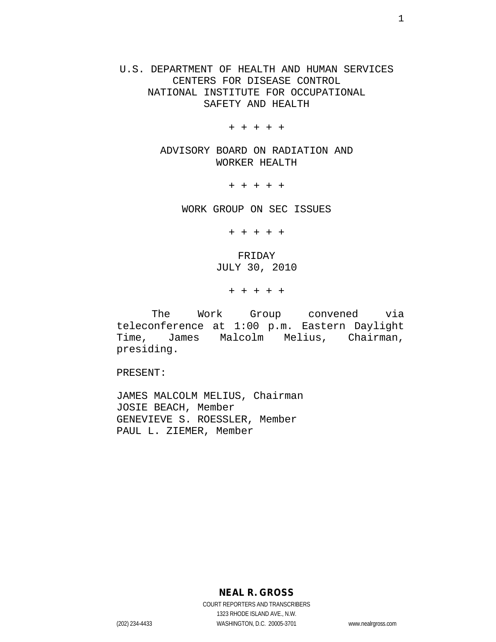U.S. DEPARTMENT OF HEALTH AND HUMAN SERVICES CENTERS FOR DISEASE CONTROL NATIONAL INSTITUTE FOR OCCUPATIONAL SAFETY AND HEALTH

+ + + + +

ADVISORY BOARD ON RADIATION AND WORKER HEALTH

+ + + + +

WORK GROUP ON SEC ISSUES

+ + + + +

FRIDAY JULY 30, 2010

+ + + + +

The Work Group convened via teleconference at 1:00 p.m. Eastern Daylight Time, James Malcolm Melius, Chairman, presiding.

PRESENT:

JAMES MALCOLM MELIUS, Chairman JOSIE BEACH, Member GENEVIEVE S. ROESSLER, Member PAUL L. ZIEMER, Member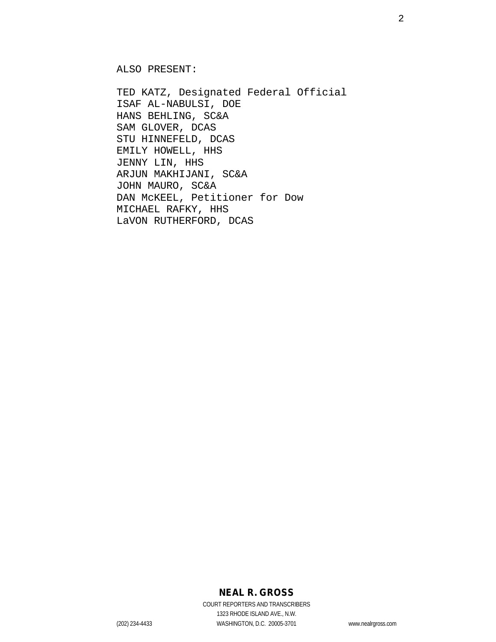ALSO PRESENT:

TED KATZ, Designated Federal Official ISAF AL-NABULSI, DOE HANS BEHLING, SC&A SAM GLOVER, DCAS STU HINNEFELD, DCAS EMILY HOWELL, HHS JENNY LIN, HHS ARJUN MAKHIJANI, SC&A JOHN MAURO, SC&A DAN McKEEL, Petitioner for Dow MICHAEL RAFKY, HHS LaVON RUTHERFORD, DCAS

### **NEAL R. GROSS**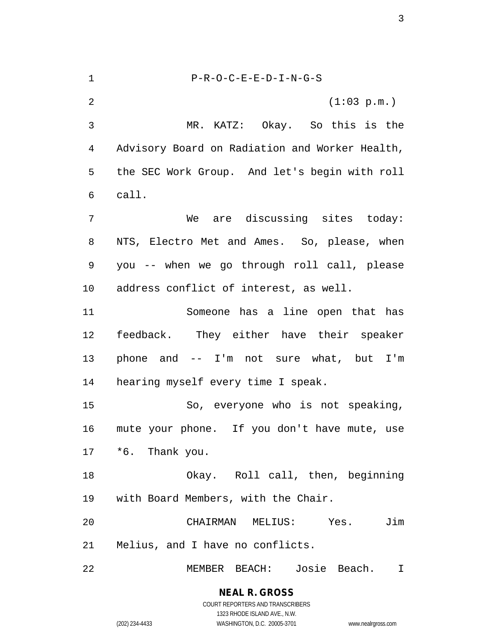1 P-R-O-C-E-E-D-I-N-G-S 2 (1:03 p.m.) 3 MR. KATZ: Okay. So this is the 4 Advisory Board on Radiation and Worker Health, 5 the SEC Work Group. And let's begin with roll 6 call. 7 We are discussing sites today: 8 NTS, Electro Met and Ames. So, please, when 9 you -- when we go through roll call, please 10 address conflict of interest, as well. 11 Someone has a line open that has 12 feedback. They either have their speaker 13 phone and -- I'm not sure what, but I'm 14 hearing myself every time I speak. 15 So, everyone who is not speaking, 16 mute your phone. If you don't have mute, use 17 \*6. Thank you. 18 Okay. Roll call, then, beginning 19 with Board Members, with the Chair. 20 CHAIRMAN MELIUS: Yes. Jim 21 Melius, and I have no conflicts. 22 MEMBER BEACH: Josie Beach. I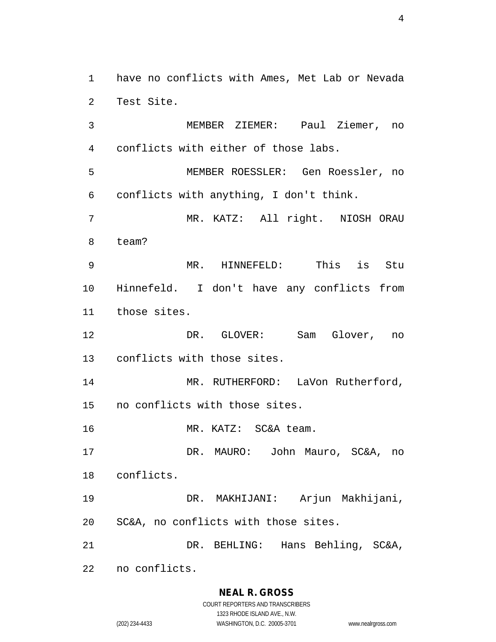1 have no conflicts with Ames, Met Lab or Nevada 2 Test Site.

3 MEMBER ZIEMER: Paul Ziemer, no 4 conflicts with either of those labs. 5 MEMBER ROESSLER: Gen Roessler, no 6 conflicts with anything, I don't think. 7 MR. KATZ: All right. NIOSH ORAU 8 team? 9 MR. HINNEFELD: This is Stu 10 Hinnefeld. I don't have any conflicts from 11 those sites. 12 DR. GLOVER: Sam Glover, no 13 conflicts with those sites. 14 MR. RUTHERFORD: LaVon Rutherford, 15 no conflicts with those sites. 16 MR. KATZ: SC&A team. 17 DR. MAURO: John Mauro, SC&A, no 18 conflicts. 19 DR. MAKHIJANI: Arjun Makhijani,

20 SC&A, no conflicts with those sites.

21 DR. BEHLING: Hans Behling, SC&A,

22 no conflicts.

#### **NEAL R. GROSS**

COURT REPORTERS AND TRANSCRIBERS 1323 RHODE ISLAND AVE., N.W. (202) 234-4433 WASHINGTON, D.C. 20005-3701 www.nealrgross.com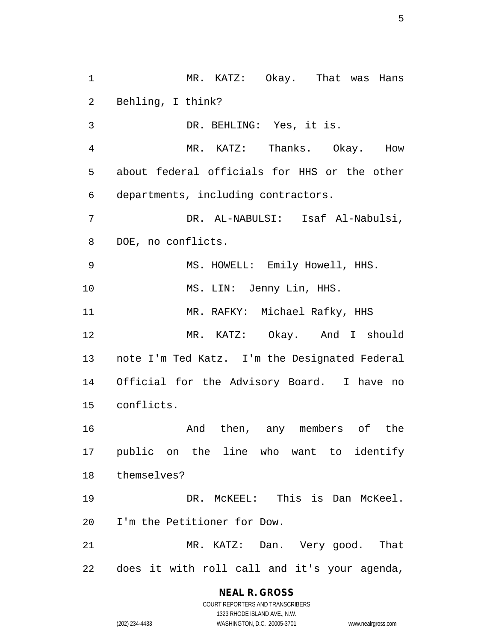1 MR. KATZ: Okay. That was Hans 2 Behling, I think? 3 DR. BEHLING: Yes, it is. 4 MR. KATZ: Thanks. Okay. How 5 about federal officials for HHS or the other 6 departments, including contractors. 7 DR. AL-NABULSI: Isaf Al-Nabulsi, 8 DOE, no conflicts. 9 MS. HOWELL: Emily Howell, HHS. 10 MS. LIN: Jenny Lin, HHS. 11 MR. RAFKY: Michael Rafky, HHS 12 MR. KATZ: Okay. And I should 13 note I'm Ted Katz. I'm the Designated Federal 14 Official for the Advisory Board. I have no 15 conflicts. 16 And then, any members of the 17 public on the line who want to identify 18 themselves? 19 DR. McKEEL: This is Dan McKeel. 20 I'm the Petitioner for Dow. 21 MR. KATZ: Dan. Very good. That

22 does it with roll call and it's your agenda,

#### **NEAL R. GROSS** COURT REPORTERS AND TRANSCRIBERS

1323 RHODE ISLAND AVE., N.W. (202) 234-4433 WASHINGTON, D.C. 20005-3701 www.nealrgross.com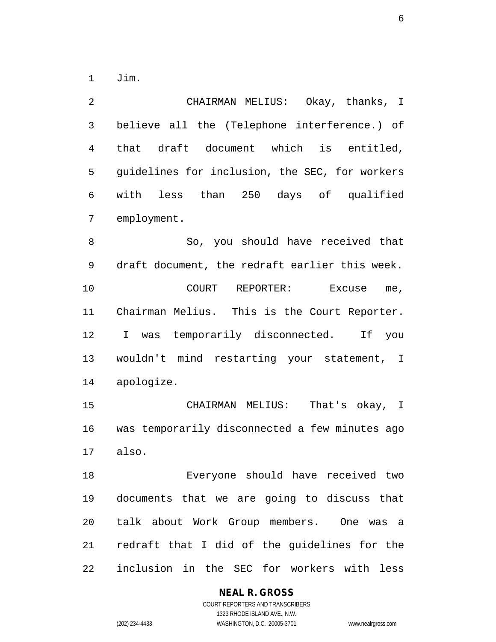1 Jim.

2 CHAIRMAN MELIUS: Okay, thanks, I 3 believe all the (Telephone interference.) of 4 that draft document which is entitled, 5 guidelines for inclusion, the SEC, for workers 6 with less than 250 days of qualified 7 employment. 8 So, you should have received that 9 draft document, the redraft earlier this week. 10 COURT REPORTER: Excuse me, 11 Chairman Melius. This is the Court Reporter. 12 I was temporarily disconnected. If you 13 wouldn't mind restarting your statement, I 14 apologize. 15 CHAIRMAN MELIUS: That's okay, I

16 was temporarily disconnected a few minutes ago 17 also.

18 Everyone should have received two 19 documents that we are going to discuss that 20 talk about Work Group members. One was a 21 redraft that I did of the guidelines for the 22 inclusion in the SEC for workers with less

### **NEAL R. GROSS**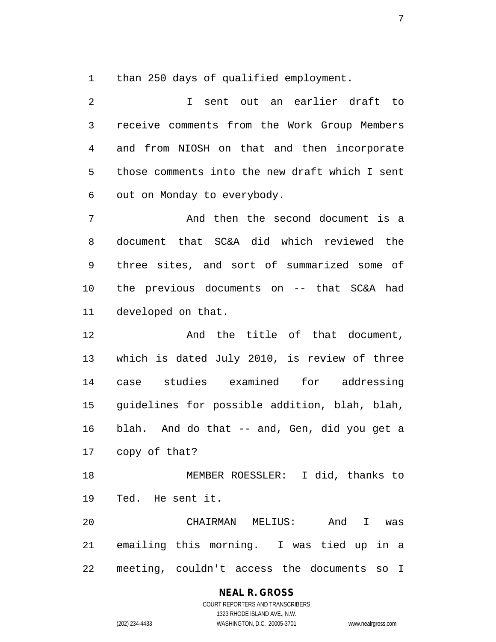1 than 250 days of qualified employment.

2 I sent out an earlier draft to 3 receive comments from the Work Group Members 4 and from NIOSH on that and then incorporate 5 those comments into the new draft which I sent 6 out on Monday to everybody. 7 And then the second document is a 8 document that SC&A did which reviewed the 9 three sites, and sort of summarized some of 10 the previous documents on -- that SC&A had 11 developed on that. 12 And the title of that document, 13 which is dated July 2010, is review of three 14 case studies examined for addressing 15 guidelines for possible addition, blah, blah, 16 blah. And do that -- and, Gen, did you get a 17 copy of that? 18 MEMBER ROESSLER: I did, thanks to 19 Ted. He sent it. 20 CHAIRMAN MELIUS: And I was 21 emailing this morning. I was tied up in a 22 meeting, couldn't access the documents so I

**NEAL R. GROSS**

COURT REPORTERS AND TRANSCRIBERS 1323 RHODE ISLAND AVE., N.W. (202) 234-4433 WASHINGTON, D.C. 20005-3701 www.nealrgross.com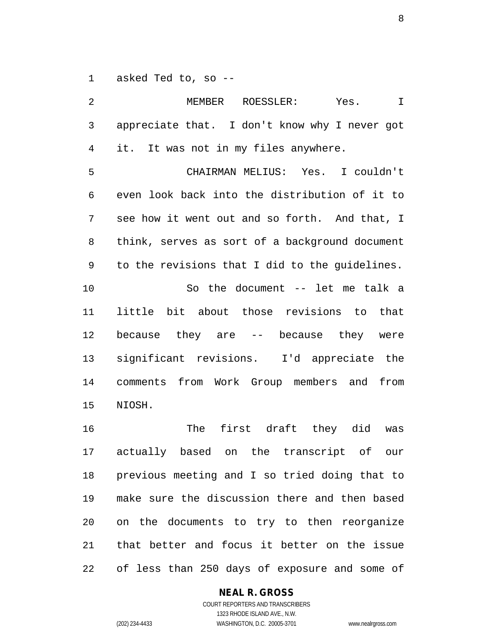1 asked Ted to, so --

2 MEMBER ROESSLER: Yes. I 3 appreciate that. I don't know why I never got 4 it. It was not in my files anywhere. 5 CHAIRMAN MELIUS: Yes. I couldn't 6 even look back into the distribution of it to 7 see how it went out and so forth. And that, I 8 think, serves as sort of a background document 9 to the revisions that I did to the guidelines. 10 So the document -- let me talk a 11 little bit about those revisions to that 12 because they are -- because they were 13 significant revisions. I'd appreciate the 14 comments from Work Group members and from 15 NIOSH. 16 The first draft they did was 17 actually based on the transcript of our 18 previous meeting and I so tried doing that to 19 make sure the discussion there and then based 20 on the documents to try to then reorganize 21 that better and focus it better on the issue 22 of less than 250 days of exposure and some of

#### **NEAL R. GROSS**

COURT REPORTERS AND TRANSCRIBERS 1323 RHODE ISLAND AVE., N.W. (202) 234-4433 WASHINGTON, D.C. 20005-3701 www.nealrgross.com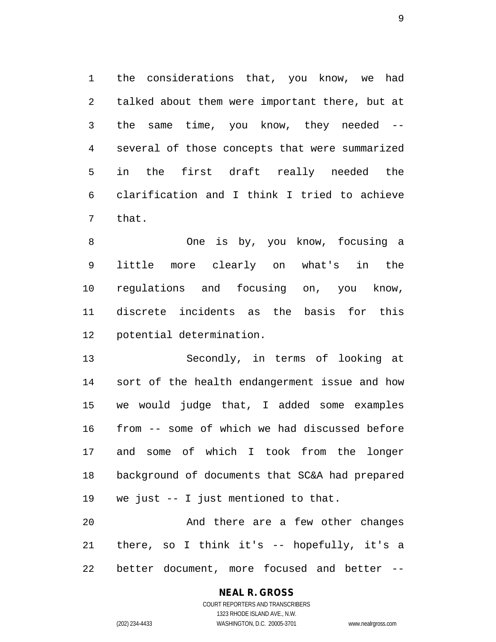1 the considerations that, you know, we had 2 talked about them were important there, but at 3 the same time, you know, they needed -- 4 several of those concepts that were summarized 5 in the first draft really needed the 6 clarification and I think I tried to achieve 7 that.

8 One is by, you know, focusing a 9 little more clearly on what's in the 10 regulations and focusing on, you know, 11 discrete incidents as the basis for this 12 potential determination.

13 Secondly, in terms of looking at 14 sort of the health endangerment issue and how 15 we would judge that, I added some examples 16 from -- some of which we had discussed before 17 and some of which I took from the longer 18 background of documents that SC&A had prepared 19 we just -- I just mentioned to that.

20 And there are a few other changes 21 there, so I think it's -- hopefully, it's a 22 better document, more focused and better --

## **NEAL R. GROSS**

COURT REPORTERS AND TRANSCRIBERS 1323 RHODE ISLAND AVE., N.W. (202) 234-4433 WASHINGTON, D.C. 20005-3701 www.nealrgross.com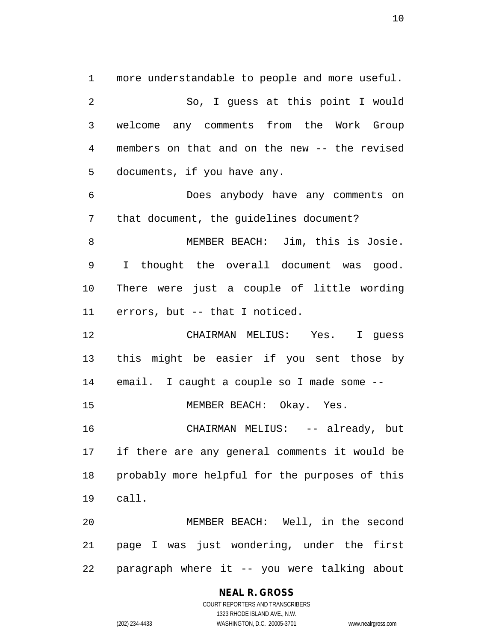1 more understandable to people and more useful. 2 So, I guess at this point I would 3 welcome any comments from the Work Group 4 members on that and on the new -- the revised 5 documents, if you have any. 6 Does anybody have any comments on 7 that document, the guidelines document? 8 MEMBER BEACH: Jim, this is Josie. 9 I thought the overall document was good. 10 There were just a couple of little wording 11 errors, but -- that I noticed. 12 CHAIRMAN MELIUS: Yes. I guess 13 this might be easier if you sent those by 14 email. I caught a couple so I made some -- 15 MEMBER BEACH: Okay. Yes. 16 CHAIRMAN MELIUS: -- already, but 17 if there are any general comments it would be 18 probably more helpful for the purposes of this 19 call. 20 MEMBER BEACH: Well, in the second 21 page I was just wondering, under the first 22 paragraph where it -- you were talking about

**NEAL R. GROSS**

COURT REPORTERS AND TRANSCRIBERS 1323 RHODE ISLAND AVE., N.W. (202) 234-4433 WASHINGTON, D.C. 20005-3701 www.nealrgross.com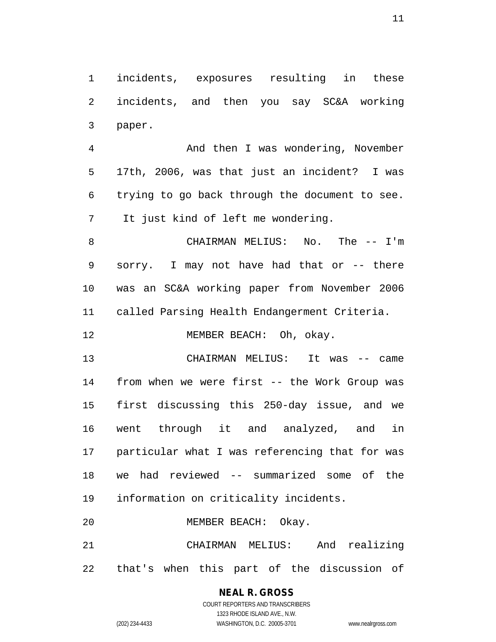1 incidents, exposures resulting in these 2 incidents, and then you say SC&A working 3 paper.

4 And then I was wondering, November 5 17th, 2006, was that just an incident? I was 6 trying to go back through the document to see. 7 It just kind of left me wondering.

8 CHAIRMAN MELIUS: No. The -- I'm 9 sorry. I may not have had that or -- there 10 was an SC&A working paper from November 2006 11 called Parsing Health Endangerment Criteria.

12 MEMBER BEACH: Oh, okay.

13 CHAIRMAN MELIUS: It was -- came 14 from when we were first -- the Work Group was 15 first discussing this 250-day issue, and we 16 went through it and analyzed, and in 17 particular what I was referencing that for was 18 we had reviewed -- summarized some of the 19 information on criticality incidents.

20 MEMBER BEACH: Okay.

21 CHAIRMAN MELIUS: And realizing 22 that's when this part of the discussion of

# **NEAL R. GROSS**

COURT REPORTERS AND TRANSCRIBERS 1323 RHODE ISLAND AVE., N.W. (202) 234-4433 WASHINGTON, D.C. 20005-3701 www.nealrgross.com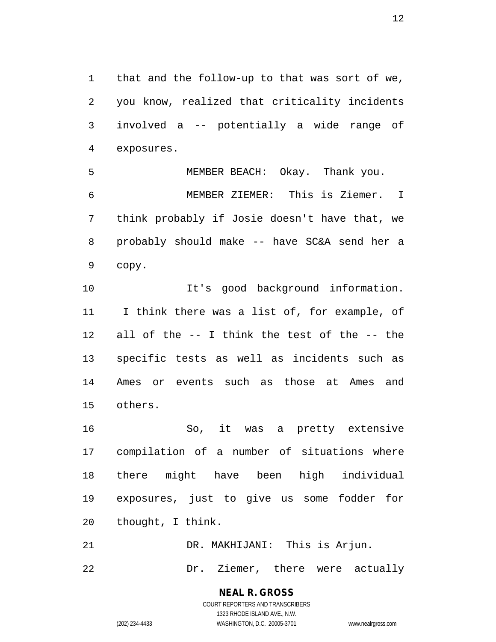1 that and the follow-up to that was sort of we, 2 you know, realized that criticality incidents 3 involved a -- potentially a wide range of 4 exposures.

5 MEMBER BEACH: Okay. Thank you. 6 MEMBER ZIEMER: This is Ziemer. I 7 think probably if Josie doesn't have that, we 8 probably should make -- have SC&A send her a 9 copy.

10 It's good background information. 11 I think there was a list of, for example, of 12 all of the -- I think the test of the -- the 13 specific tests as well as incidents such as 14 Ames or events such as those at Ames and 15 others.

16 So, it was a pretty extensive 17 compilation of a number of situations where 18 there might have been high individual 19 exposures, just to give us some fodder for 20 thought, I think.

21 DR. MAKHIJANI: This is Arjun.

22 Dr. Ziemer, there were actually

**NEAL R. GROSS** COURT REPORTERS AND TRANSCRIBERS

1323 RHODE ISLAND AVE., N.W. (202) 234-4433 WASHINGTON, D.C. 20005-3701 www.nealrgross.com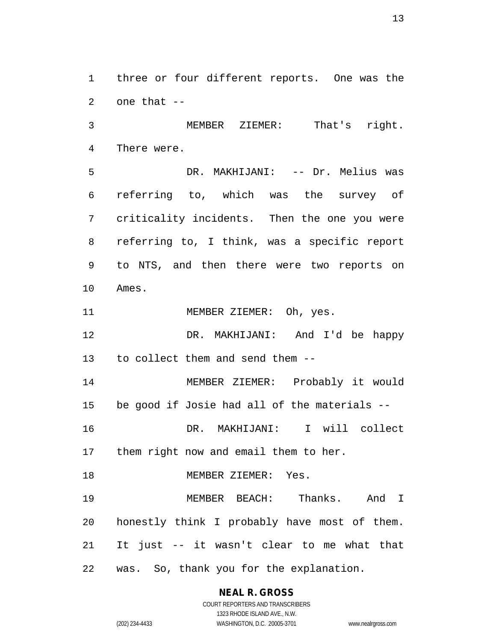1 three or four different reports. One was the 2 one that --

3 MEMBER ZIEMER: That's right. 4 There were.

5 DR. MAKHIJANI: -- Dr. Melius was 6 referring to, which was the survey of 7 criticality incidents. Then the one you were 8 referring to, I think, was a specific report 9 to NTS, and then there were two reports on 10 Ames.

11 MEMBER ZIEMER: Oh, yes.

12 DR. MAKHIJANI: And I'd be happy 13 to collect them and send them --

14 MEMBER ZIEMER: Probably it would 15 be good if Josie had all of the materials --

16 DR. MAKHIJANI: I will collect 17 them right now and email them to her.

18 MEMBER ZIEMER: Yes.

19 MEMBER BEACH: Thanks. And I 20 honestly think I probably have most of them. 21 It just -- it wasn't clear to me what that 22 was. So, thank you for the explanation.

**NEAL R. GROSS**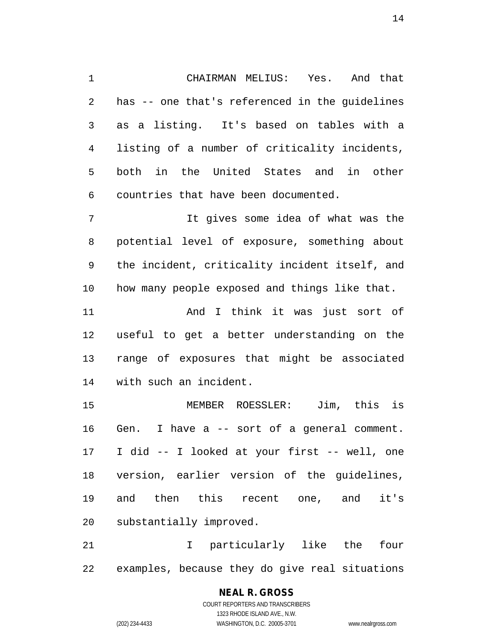1 CHAIRMAN MELIUS: Yes. And that 2 has -- one that's referenced in the guidelines 3 as a listing. It's based on tables with a 4 listing of a number of criticality incidents, 5 both in the United States and in other 6 countries that have been documented.

7 It gives some idea of what was the 8 potential level of exposure, something about 9 the incident, criticality incident itself, and 10 how many people exposed and things like that.

11 And I think it was just sort of 12 useful to get a better understanding on the 13 range of exposures that might be associated 14 with such an incident.

15 MEMBER ROESSLER: Jim, this is 16 Gen. I have a -- sort of a general comment. 17 I did -- I looked at your first -- well, one 18 version, earlier version of the guidelines, 19 and then this recent one, and it's 20 substantially improved.

21 I particularly like the four 22 examples, because they do give real situations

> **NEAL R. GROSS** COURT REPORTERS AND TRANSCRIBERS 1323 RHODE ISLAND AVE., N.W. (202) 234-4433 WASHINGTON, D.C. 20005-3701 www.nealrgross.com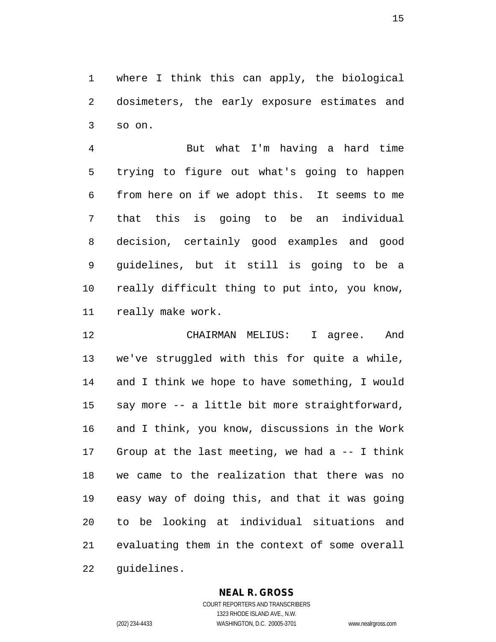1 where I think this can apply, the biological 2 dosimeters, the early exposure estimates and 3 so on.

4 But what I'm having a hard time 5 trying to figure out what's going to happen 6 from here on if we adopt this. It seems to me 7 that this is going to be an individual 8 decision, certainly good examples and good 9 guidelines, but it still is going to be a 10 really difficult thing to put into, you know, 11 really make work.

12 CHAIRMAN MELIUS: I agree. And 13 we've struggled with this for quite a while, 14 and I think we hope to have something, I would 15 say more -- a little bit more straightforward, 16 and I think, you know, discussions in the Work 17 Group at the last meeting, we had  $a -1$  think 18 we came to the realization that there was no 19 easy way of doing this, and that it was going 20 to be looking at individual situations and 21 evaluating them in the context of some overall 22 guidelines.

#### **NEAL R. GROSS**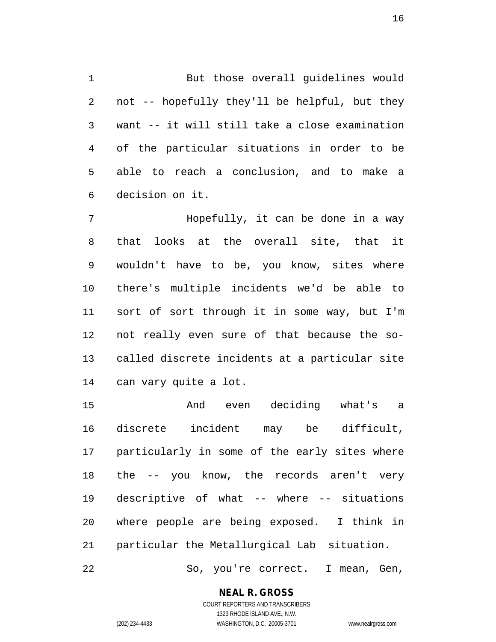1 But those overall guidelines would 2 not -- hopefully they'll be helpful, but they 3 want -- it will still take a close examination 4 of the particular situations in order to be 5 able to reach a conclusion, and to make a 6 decision on it.

7 Hopefully, it can be done in a way 8 that looks at the overall site, that it 9 wouldn't have to be, you know, sites where 10 there's multiple incidents we'd be able to 11 sort of sort through it in some way, but I'm 12 not really even sure of that because the so-13 called discrete incidents at a particular site 14 can vary quite a lot.

15 And even deciding what's a 16 discrete incident may be difficult, 17 particularly in some of the early sites where 18 the -- you know, the records aren't very 19 descriptive of what -- where -- situations 20 where people are being exposed. I think in 21 particular the Metallurgical Lab situation. 22 So, you're correct. I mean, Gen,

> **NEAL R. GROSS** COURT REPORTERS AND TRANSCRIBERS

1323 RHODE ISLAND AVE., N.W. (202) 234-4433 WASHINGTON, D.C. 20005-3701 www.nealrgross.com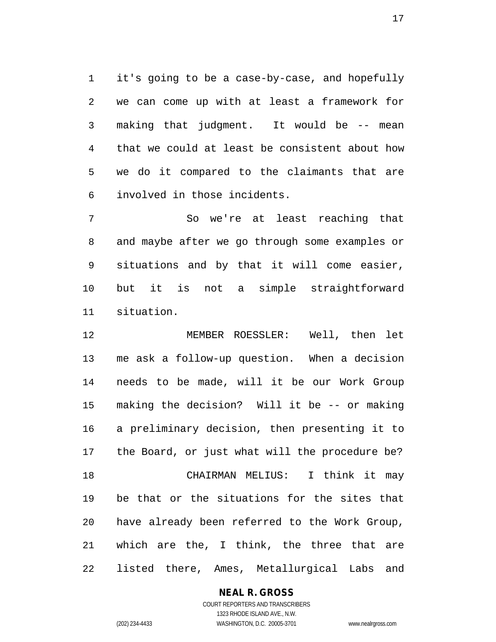1 it's going to be a case-by-case, and hopefully 2 we can come up with at least a framework for 3 making that judgment. It would be -- mean 4 that we could at least be consistent about how 5 we do it compared to the claimants that are 6 involved in those incidents.

7 So we're at least reaching that 8 and maybe after we go through some examples or 9 situations and by that it will come easier, 10 but it is not a simple straightforward 11 situation.

12 MEMBER ROESSLER: Well, then let 13 me ask a follow-up question. When a decision 14 needs to be made, will it be our Work Group 15 making the decision? Will it be -- or making 16 a preliminary decision, then presenting it to 17 the Board, or just what will the procedure be? 18 CHAIRMAN MELIUS: I think it may 19 be that or the situations for the sites that 20 have already been referred to the Work Group, 21 which are the, I think, the three that are 22 listed there, Ames, Metallurgical Labs and

#### **NEAL R. GROSS**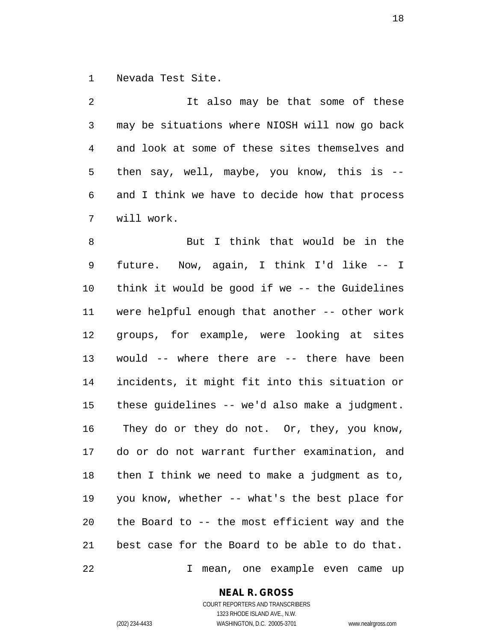1 Nevada Test Site.

2 It also may be that some of these 3 may be situations where NIOSH will now go back 4 and look at some of these sites themselves and 5 then say, well, maybe, you know, this is -- 6 and I think we have to decide how that process 7 will work.

8 But I think that would be in the 9 future. Now, again, I think I'd like -- I 10 think it would be good if we -- the Guidelines 11 were helpful enough that another -- other work 12 groups, for example, were looking at sites 13 would -- where there are -- there have been 14 incidents, it might fit into this situation or 15 these guidelines -- we'd also make a judgment. 16 They do or they do not. Or, they, you know, 17 do or do not warrant further examination, and 18 then I think we need to make a judgment as to, 19 you know, whether -- what's the best place for 20 the Board to -- the most efficient way and the 21 best case for the Board to be able to do that. 22 I mean, one example even came up

**NEAL R. GROSS**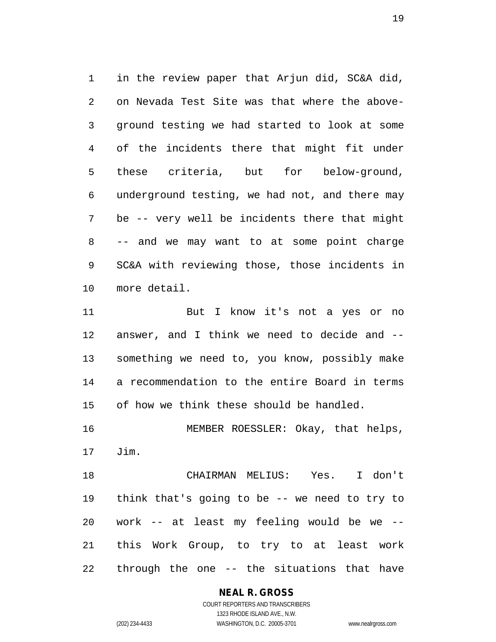1 in the review paper that Arjun did, SC&A did, 2 on Nevada Test Site was that where the above-3 ground testing we had started to look at some 4 of the incidents there that might fit under 5 these criteria, but for below-ground, 6 underground testing, we had not, and there may 7 be -- very well be incidents there that might 8 -- and we may want to at some point charge 9 SC&A with reviewing those, those incidents in 10 more detail.

11 But I know it's not a yes or no 12 answer, and I think we need to decide and -- 13 something we need to, you know, possibly make 14 a recommendation to the entire Board in terms 15 of how we think these should be handled.

16 MEMBER ROESSLER: Okay, that helps, 17 Jim.

18 CHAIRMAN MELIUS: Yes. I don't 19 think that's going to be -- we need to try to 20 work -- at least my feeling would be we -- 21 this Work Group, to try to at least work 22 through the one -- the situations that have

#### **NEAL R. GROSS**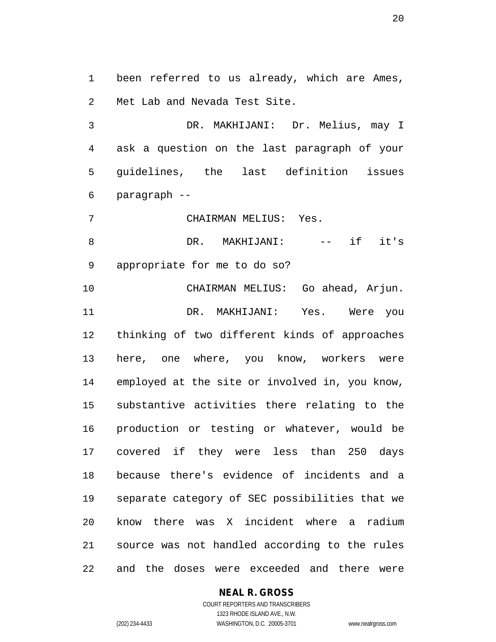1 been referred to us already, which are Ames, 2 Met Lab and Nevada Test Site.

3 DR. MAKHIJANI: Dr. Melius, may I 4 ask a question on the last paragraph of your 5 guidelines, the last definition issues 6 paragraph --

7 CHAIRMAN MELIUS: Yes.

8 DR. MAKHIJANI: -- if it's 9 appropriate for me to do so?

10 CHAIRMAN MELIUS: Go ahead, Arjun. 11 DR. MAKHIJANI: Yes. Were you 12 thinking of two different kinds of approaches 13 here, one where, you know, workers were 14 employed at the site or involved in, you know, 15 substantive activities there relating to the 16 production or testing or whatever, would be 17 covered if they were less than 250 days 18 because there's evidence of incidents and a 19 separate category of SEC possibilities that we 20 know there was X incident where a radium 21 source was not handled according to the rules 22 and the doses were exceeded and there were

#### **NEAL R. GROSS**

COURT REPORTERS AND TRANSCRIBERS 1323 RHODE ISLAND AVE., N.W. (202) 234-4433 WASHINGTON, D.C. 20005-3701 www.nealrgross.com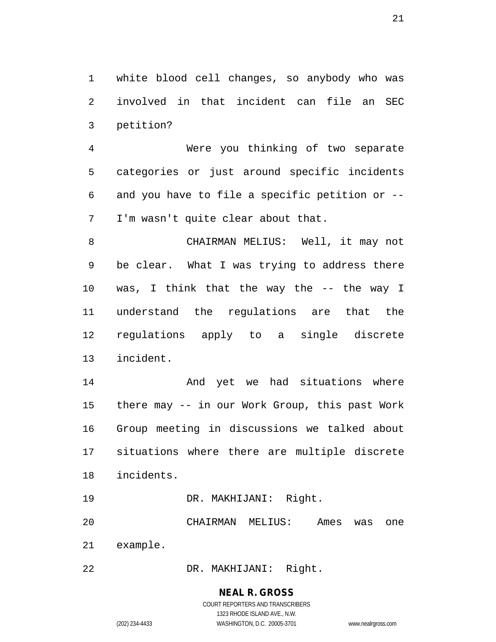1 white blood cell changes, so anybody who was 2 involved in that incident can file an SEC 3 petition?

4 Were you thinking of two separate 5 categories or just around specific incidents 6 and you have to file a specific petition or -- 7 I'm wasn't quite clear about that.

8 CHAIRMAN MELIUS: Well, it may not 9 be clear. What I was trying to address there 10 was, I think that the way the -- the way I 11 understand the regulations are that the 12 regulations apply to a single discrete 13 incident.

14 And yet we had situations where 15 there may -- in our Work Group, this past Work 16 Group meeting in discussions we talked about 17 situations where there are multiple discrete 18 incidents.

19 DR. MAKHIJANI: Right.

20 CHAIRMAN MELIUS: Ames was one 21 example.

22 DR. MAKHIJANI: Right.

#### **NEAL R. GROSS**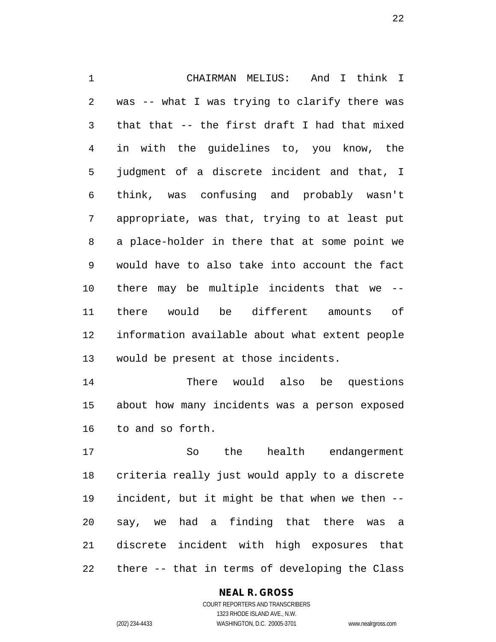1 CHAIRMAN MELIUS: And I think I 2 was -- what I was trying to clarify there was 3 that that -- the first draft I had that mixed 4 in with the guidelines to, you know, the 5 judgment of a discrete incident and that, I 6 think, was confusing and probably wasn't 7 appropriate, was that, trying to at least put 8 a place-holder in there that at some point we 9 would have to also take into account the fact 10 there may be multiple incidents that we -- 11 there would be different amounts of 12 information available about what extent people 13 would be present at those incidents.

14 There would also be questions 15 about how many incidents was a person exposed 16 to and so forth.

17 So the health endangerment 18 criteria really just would apply to a discrete 19 incident, but it might be that when we then -- 20 say, we had a finding that there was a 21 discrete incident with high exposures that 22 there -- that in terms of developing the Class

#### **NEAL R. GROSS**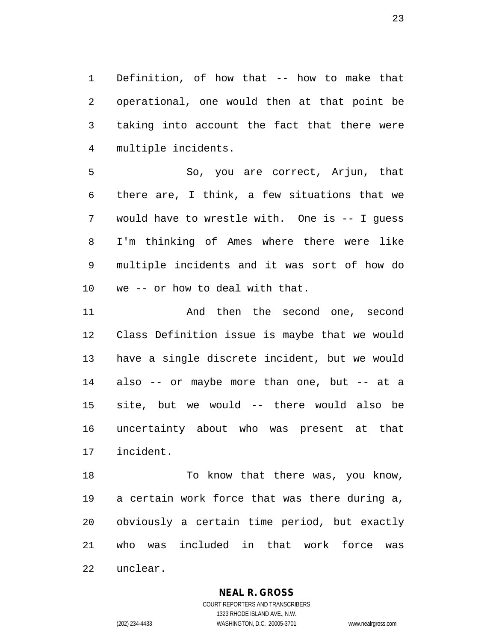1 Definition, of how that -- how to make that 2 operational, one would then at that point be 3 taking into account the fact that there were 4 multiple incidents.

5 So, you are correct, Arjun, that 6 there are, I think, a few situations that we 7 would have to wrestle with. One is -- I guess 8 I'm thinking of Ames where there were like 9 multiple incidents and it was sort of how do 10 we -- or how to deal with that.

11 And then the second one, second 12 Class Definition issue is maybe that we would 13 have a single discrete incident, but we would 14 also -- or maybe more than one, but -- at a 15 site, but we would -- there would also be 16 uncertainty about who was present at that 17 incident.

18 To know that there was, you know, 19 a certain work force that was there during a, 20 obviously a certain time period, but exactly 21 who was included in that work force was 22 unclear.

#### **NEAL R. GROSS**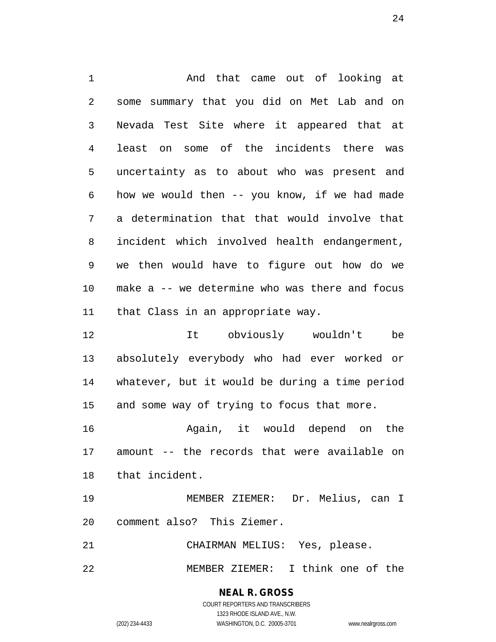1 And that came out of looking at 2 some summary that you did on Met Lab and on 3 Nevada Test Site where it appeared that at 4 least on some of the incidents there was 5 uncertainty as to about who was present and 6 how we would then -- you know, if we had made 7 a determination that that would involve that 8 incident which involved health endangerment, 9 we then would have to figure out how do we 10 make a -- we determine who was there and focus 11 that Class in an appropriate way.

12 It obviously wouldn't be 13 absolutely everybody who had ever worked or 14 whatever, but it would be during a time period 15 and some way of trying to focus that more.

16 Again, it would depend on the 17 amount -- the records that were available on 18 that incident.

19 MEMBER ZIEMER: Dr. Melius, can I 20 comment also? This Ziemer.

21 CHAIRMAN MELIUS: Yes, please.

22 MEMBER ZIEMER: I think one of the

**NEAL R. GROSS** COURT REPORTERS AND TRANSCRIBERS

1323 RHODE ISLAND AVE., N.W. (202) 234-4433 WASHINGTON, D.C. 20005-3701 www.nealrgross.com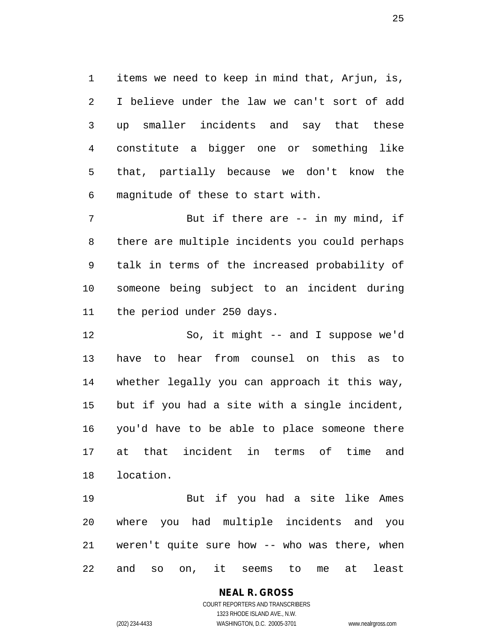1 items we need to keep in mind that, Arjun, is, 2 I believe under the law we can't sort of add 3 up smaller incidents and say that these 4 constitute a bigger one or something like 5 that, partially because we don't know the 6 magnitude of these to start with.

7 But if there are -- in my mind, if 8 there are multiple incidents you could perhaps 9 talk in terms of the increased probability of 10 someone being subject to an incident during 11 the period under 250 days.

12 So, it might -- and I suppose we'd 13 have to hear from counsel on this as to 14 whether legally you can approach it this way, 15 but if you had a site with a single incident, 16 you'd have to be able to place someone there 17 at that incident in terms of time and 18 location.

19 But if you had a site like Ames 20 where you had multiple incidents and you 21 weren't quite sure how -- who was there, when 22 and so on, it seems to me at least

> **NEAL R. GROSS** COURT REPORTERS AND TRANSCRIBERS 1323 RHODE ISLAND AVE., N.W. (202) 234-4433 WASHINGTON, D.C. 20005-3701 www.nealrgross.com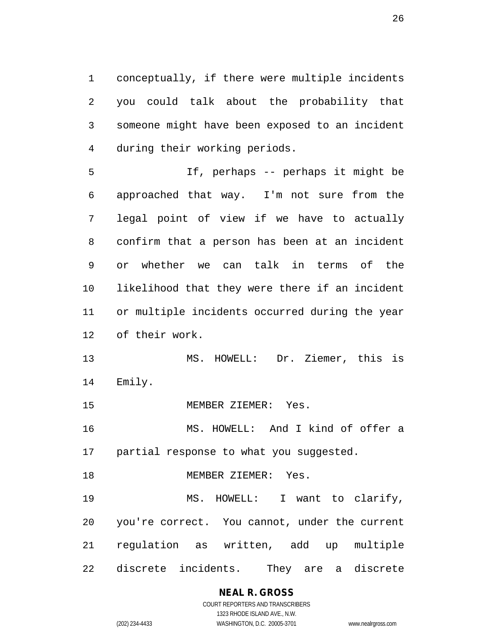1 conceptually, if there were multiple incidents 2 you could talk about the probability that 3 someone might have been exposed to an incident 4 during their working periods.

5 If, perhaps -- perhaps it might be 6 approached that way. I'm not sure from the 7 legal point of view if we have to actually 8 confirm that a person has been at an incident 9 or whether we can talk in terms of the 10 likelihood that they were there if an incident 11 or multiple incidents occurred during the year 12 of their work.

13 MS. HOWELL: Dr. Ziemer, this is 14 Emily.

15 MEMBER ZIEMER: Yes.

16 MS. HOWELL: And I kind of offer a 17 partial response to what you suggested.

18 MEMBER ZIEMER: Yes.

19 MS. HOWELL: I want to clarify, 20 you're correct. You cannot, under the current 21 regulation as written, add up multiple 22 discrete incidents. They are a discrete

### **NEAL R. GROSS**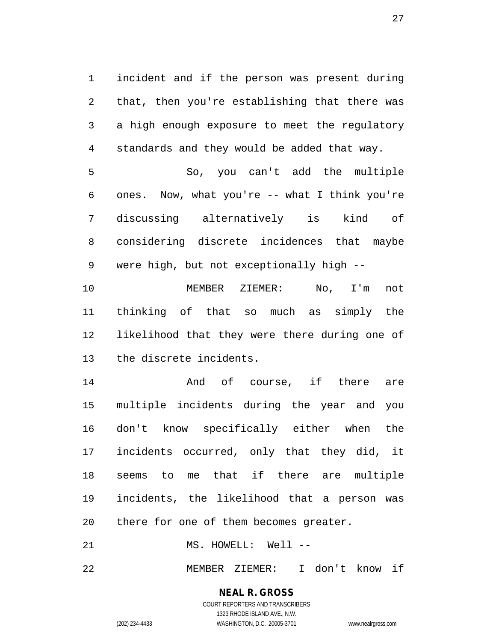1 incident and if the person was present during 2 that, then you're establishing that there was 3 a high enough exposure to meet the regulatory 4 standards and they would be added that way.

5 So, you can't add the multiple 6 ones. Now, what you're -- what I think you're 7 discussing alternatively is kind of 8 considering discrete incidences that maybe 9 were high, but not exceptionally high --

10 MEMBER ZIEMER: No, I'm not 11 thinking of that so much as simply the 12 likelihood that they were there during one of 13 the discrete incidents.

14 And of course, if there are 15 multiple incidents during the year and you 16 don't know specifically either when the 17 incidents occurred, only that they did, it 18 seems to me that if there are multiple 19 incidents, the likelihood that a person was 20 there for one of them becomes greater.

21 MS. HOWELL: Well --

22 MEMBER ZIEMER: I don't know if

# **NEAL R. GROSS**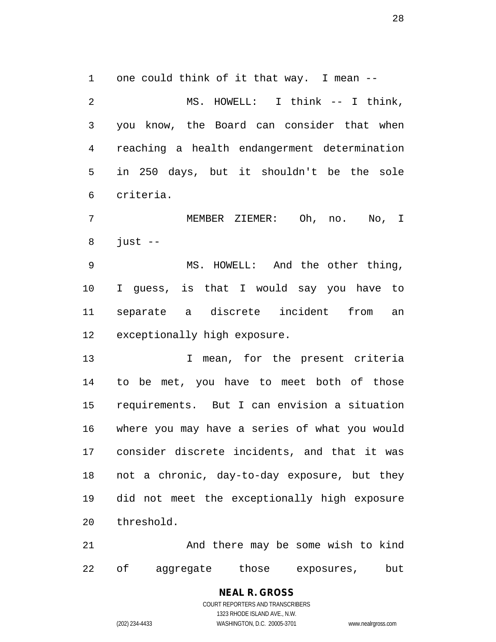1 one could think of it that way. I mean --

2 MS. HOWELL: I think -- I think, 3 you know, the Board can consider that when 4 reaching a health endangerment determination 5 in 250 days, but it shouldn't be the sole 6 criteria.

7 MEMBER ZIEMER: Oh, no. No, I  $8$  just  $-$ 

9 MS. HOWELL: And the other thing, 10 I guess, is that I would say you have to 11 separate a discrete incident from an 12 exceptionally high exposure.

13 13 I mean, for the present criteria 14 to be met, you have to meet both of those 15 requirements. But I can envision a situation 16 where you may have a series of what you would 17 consider discrete incidents, and that it was 18 not a chronic, day-to-day exposure, but they 19 did not meet the exceptionally high exposure 20 threshold.

21 And there may be some wish to kind 22 of aggregate those exposures, but

> **NEAL R. GROSS** COURT REPORTERS AND TRANSCRIBERS 1323 RHODE ISLAND AVE., N.W. (202) 234-4433 WASHINGTON, D.C. 20005-3701 www.nealrgross.com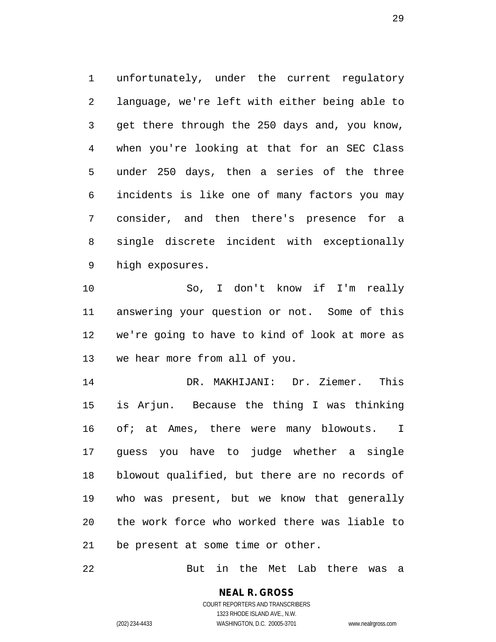1 unfortunately, under the current regulatory 2 language, we're left with either being able to 3 get there through the 250 days and, you know, 4 when you're looking at that for an SEC Class 5 under 250 days, then a series of the three 6 incidents is like one of many factors you may 7 consider, and then there's presence for a 8 single discrete incident with exceptionally 9 high exposures.

10 So, I don't know if I'm really 11 answering your question or not. Some of this 12 we're going to have to kind of look at more as 13 we hear more from all of you.

14 DR. MAKHIJANI: Dr. Ziemer. This 15 is Arjun. Because the thing I was thinking 16 of; at Ames, there were many blowouts. I 17 guess you have to judge whether a single 18 blowout qualified, but there are no records of 19 who was present, but we know that generally 20 the work force who worked there was liable to 21 be present at some time or other.

22 But in the Met Lab there was a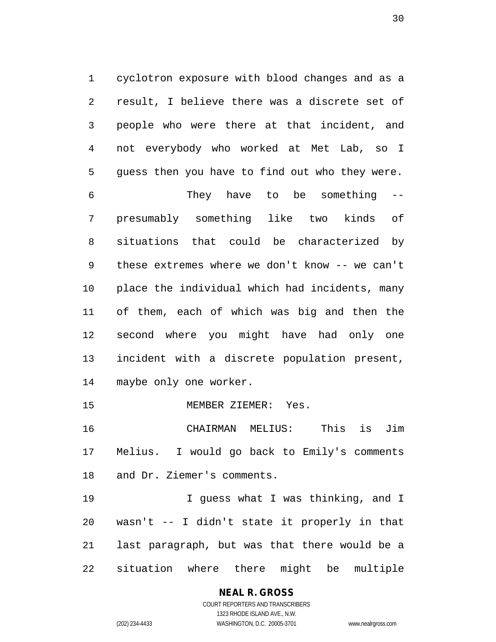1 cyclotron exposure with blood changes and as a 2 result, I believe there was a discrete set of 3 people who were there at that incident, and 4 not everybody who worked at Met Lab, so I 5 guess then you have to find out who they were.

6 They have to be something -- 7 presumably something like two kinds of 8 situations that could be characterized by 9 these extremes where we don't know -- we can't 10 place the individual which had incidents, many 11 of them, each of which was big and then the 12 second where you might have had only one 13 incident with a discrete population present, 14 maybe only one worker.

15 MEMBER ZIEMER: Yes.

16 CHAIRMAN MELIUS: This is Jim 17 Melius. I would go back to Emily's comments 18 and Dr. Ziemer's comments.

19 19 I guess what I was thinking, and I 20 wasn't -- I didn't state it properly in that 21 last paragraph, but was that there would be a 22 situation where there might be multiple

> **NEAL R. GROSS** COURT REPORTERS AND TRANSCRIBERS 1323 RHODE ISLAND AVE., N.W.

(202) 234-4433 WASHINGTON, D.C. 20005-3701 www.nealrgross.com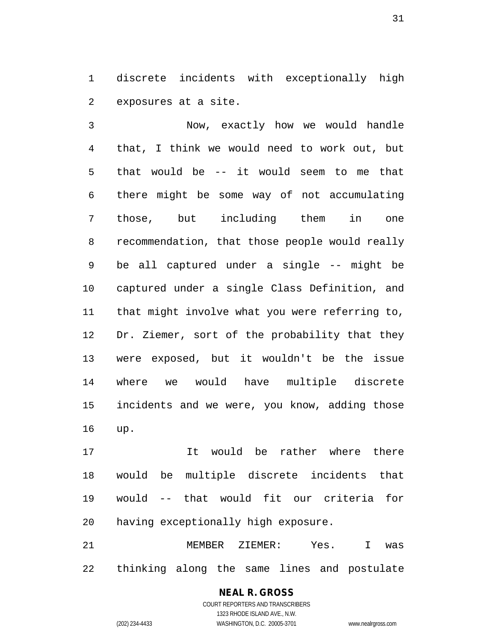1 discrete incidents with exceptionally high 2 exposures at a site.

3 Now, exactly how we would handle 4 that, I think we would need to work out, but 5 that would be -- it would seem to me that 6 there might be some way of not accumulating 7 those, but including them in one 8 recommendation, that those people would really 9 be all captured under a single -- might be 10 captured under a single Class Definition, and 11 that might involve what you were referring to, 12 Dr. Ziemer, sort of the probability that they 13 were exposed, but it wouldn't be the issue 14 where we would have multiple discrete 15 incidents and we were, you know, adding those 16 up.

17 It would be rather where there 18 would be multiple discrete incidents that 19 would -- that would fit our criteria for 20 having exceptionally high exposure.

21 MEMBER ZIEMER: Yes. I was 22 thinking along the same lines and postulate

### **NEAL R. GROSS**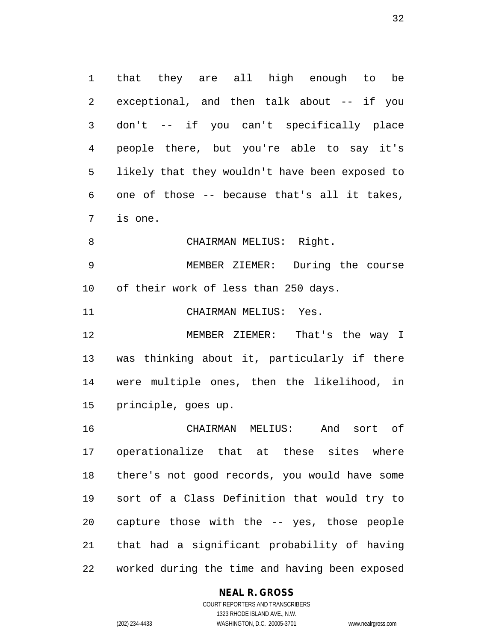1 that they are all high enough to be 2 exceptional, and then talk about -- if you 3 don't -- if you can't specifically place 4 people there, but you're able to say it's 5 likely that they wouldn't have been exposed to 6 one of those -- because that's all it takes, 7 is one.

8 CHAIRMAN MELIUS: Right.

9 MEMBER ZIEMER: During the course 10 of their work of less than 250 days.

11 CHAIRMAN MELIUS: Yes.

12 MEMBER ZIEMER: That's the way I 13 was thinking about it, particularly if there 14 were multiple ones, then the likelihood, in 15 principle, goes up.

16 CHAIRMAN MELIUS: And sort of 17 operationalize that at these sites where 18 there's not good records, you would have some 19 sort of a Class Definition that would try to 20 capture those with the -- yes, those people 21 that had a significant probability of having 22 worked during the time and having been exposed

#### **NEAL R. GROSS**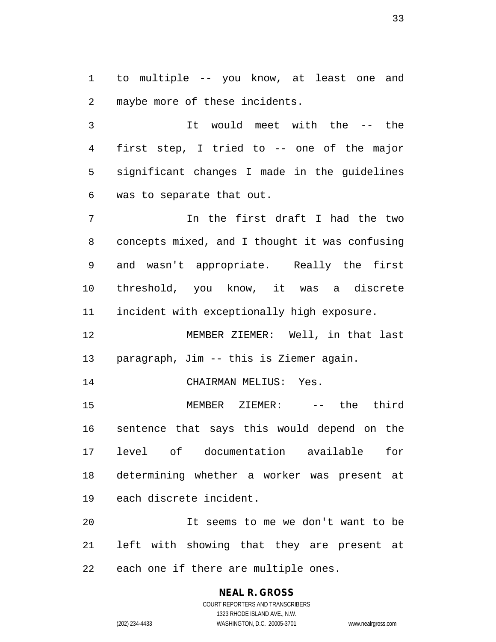1 to multiple -- you know, at least one and 2 maybe more of these incidents.

3 It would meet with the -- the 4 first step, I tried to -- one of the major 5 significant changes I made in the guidelines 6 was to separate that out.

7 In the first draft I had the two 8 concepts mixed, and I thought it was confusing 9 and wasn't appropriate. Really the first 10 threshold, you know, it was a discrete 11 incident with exceptionally high exposure.

12 MEMBER ZIEMER: Well, in that last 13 paragraph, Jim -- this is Ziemer again.

14 CHAIRMAN MELIUS: Yes.

15 MEMBER ZIEMER: -- the third 16 sentence that says this would depend on the 17 level of documentation available for 18 determining whether a worker was present at 19 each discrete incident.

20 It seems to me we don't want to be 21 left with showing that they are present at 22 each one if there are multiple ones.

# **NEAL R. GROSS**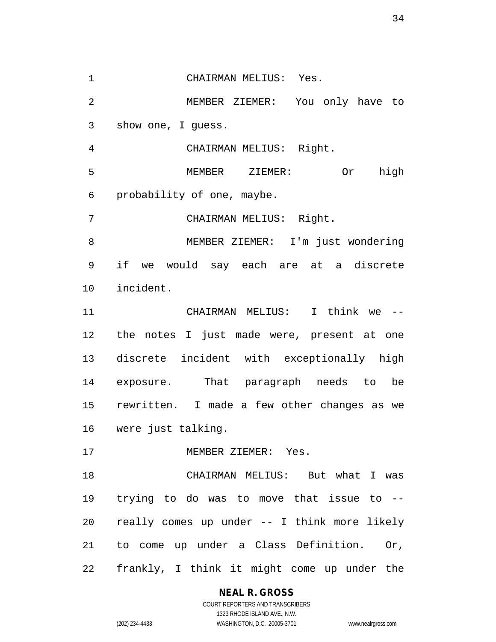1 CHAIRMAN MELIUS: Yes. 2 MEMBER ZIEMER: You only have to 3 show one, I guess. 4 CHAIRMAN MELIUS: Right. 5 MEMBER ZIEMER: Or high 6 probability of one, maybe. 7 CHAIRMAN MELIUS: Right. 8 MEMBER ZIEMER: I'm just wondering 9 if we would say each are at a discrete 10 incident. 11 CHAIRMAN MELIUS: I think we -- 12 the notes I just made were, present at one 13 discrete incident with exceptionally high 14 exposure. That paragraph needs to be 15 rewritten. I made a few other changes as we 16 were just talking. 17 MEMBER ZIEMER: Yes. 18 CHAIRMAN MELIUS: But what I was 19 trying to do was to move that issue to -- 20 really comes up under -- I think more likely 21 to come up under a Class Definition. Or,

22 frankly, I think it might come up under the

#### **NEAL R. GROSS**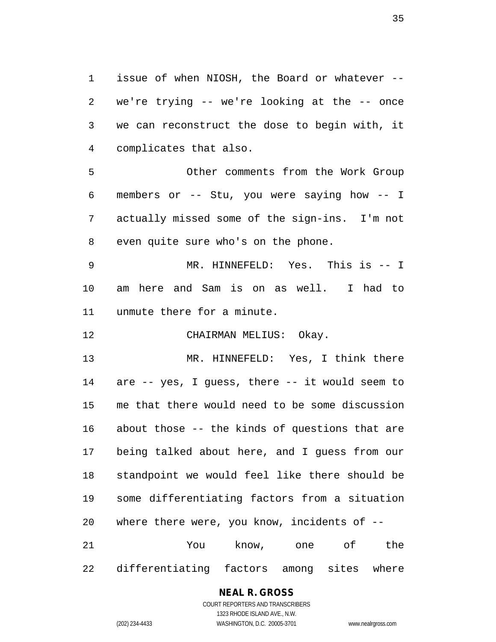1 issue of when NIOSH, the Board or whatever -- 2 we're trying -- we're looking at the -- once 3 we can reconstruct the dose to begin with, it 4 complicates that also.

5 Other comments from the Work Group 6 members or -- Stu, you were saying how -- I 7 actually missed some of the sign-ins. I'm not 8 even quite sure who's on the phone.

9 MR. HINNEFELD: Yes. This is -- I 10 am here and Sam is on as well. I had to 11 unmute there for a minute.

12 CHAIRMAN MELIUS: Okay.

13 MR. HINNEFELD: Yes, I think there 14 are -- yes, I guess, there -- it would seem to 15 me that there would need to be some discussion 16 about those -- the kinds of questions that are 17 being talked about here, and I guess from our 18 standpoint we would feel like there should be 19 some differentiating factors from a situation 20 where there were, you know, incidents of -- 21 You know, one of the

22 differentiating factors among sites where

#### **NEAL R. GROSS**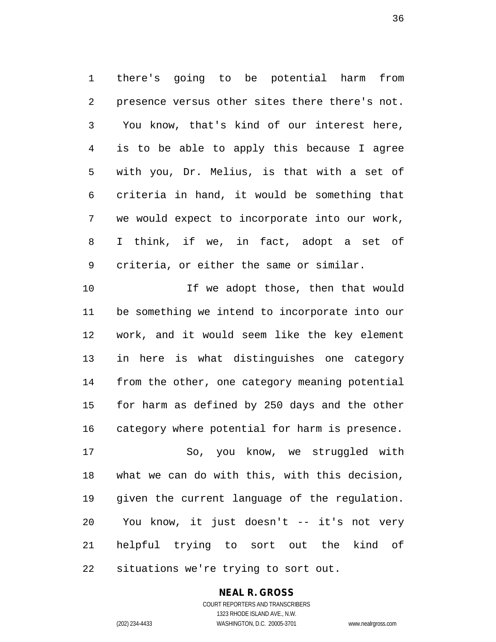1 there's going to be potential harm from 2 presence versus other sites there there's not. 3 You know, that's kind of our interest here, 4 is to be able to apply this because I agree 5 with you, Dr. Melius, is that with a set of 6 criteria in hand, it would be something that 7 we would expect to incorporate into our work, 8 I think, if we, in fact, adopt a set of 9 criteria, or either the same or similar.

10 10 If we adopt those, then that would 11 be something we intend to incorporate into our 12 work, and it would seem like the key element 13 in here is what distinguishes one category 14 from the other, one category meaning potential 15 for harm as defined by 250 days and the other 16 category where potential for harm is presence. 17 So, you know, we struggled with 18 what we can do with this, with this decision,

19 given the current language of the regulation. 20 You know, it just doesn't -- it's not very 21 helpful trying to sort out the kind of 22 situations we're trying to sort out.

### **NEAL R. GROSS**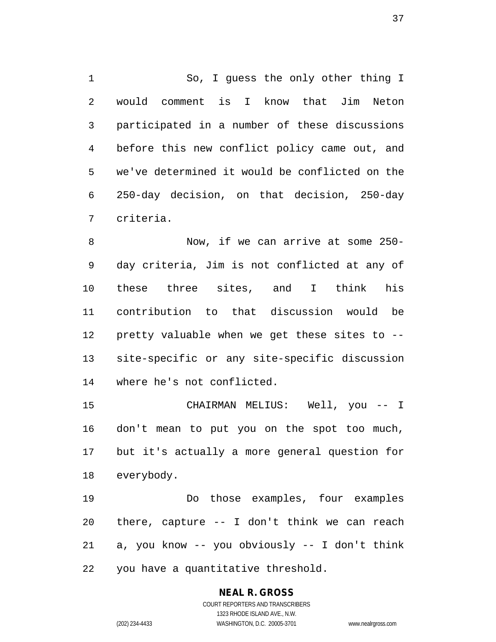1 So, I guess the only other thing I 2 would comment is I know that Jim Neton 3 participated in a number of these discussions 4 before this new conflict policy came out, and 5 we've determined it would be conflicted on the 6 250-day decision, on that decision, 250-day 7 criteria.

8 Now, if we can arrive at some 250- 9 day criteria, Jim is not conflicted at any of 10 these three sites, and I think his 11 contribution to that discussion would be 12 pretty valuable when we get these sites to -- 13 site-specific or any site-specific discussion 14 where he's not conflicted.

15 CHAIRMAN MELIUS: Well, you -- I 16 don't mean to put you on the spot too much, 17 but it's actually a more general question for 18 everybody.

19 Do those examples, four examples 20 there, capture -- I don't think we can reach 21 a, you know -- you obviously -- I don't think 22 you have a quantitative threshold.

# **NEAL R. GROSS**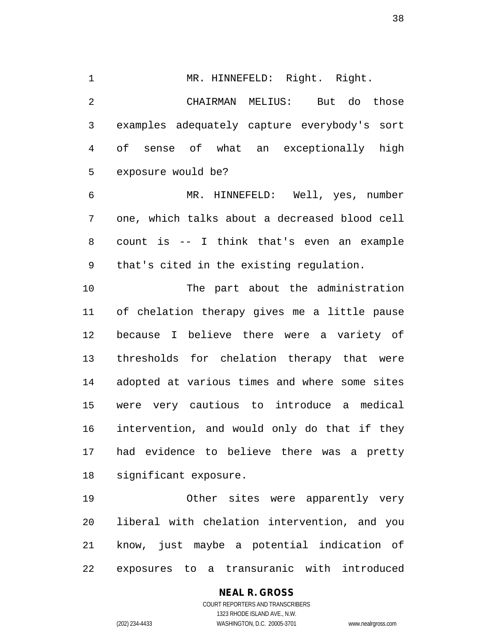1 MR. HINNEFELD: Right. Right. 2 CHAIRMAN MELIUS: But do those 3 examples adequately capture everybody's sort 4 of sense of what an exceptionally high

5 exposure would be?

6 MR. HINNEFELD: Well, yes, number 7 one, which talks about a decreased blood cell 8 count is -- I think that's even an example 9 that's cited in the existing regulation.

10 The part about the administration 11 of chelation therapy gives me a little pause 12 because I believe there were a variety of 13 thresholds for chelation therapy that were 14 adopted at various times and where some sites 15 were very cautious to introduce a medical 16 intervention, and would only do that if they 17 had evidence to believe there was a pretty 18 significant exposure.

19 Other sites were apparently very 20 liberal with chelation intervention, and you 21 know, just maybe a potential indication of 22 exposures to a transuranic with introduced

### **NEAL R. GROSS**

COURT REPORTERS AND TRANSCRIBERS 1323 RHODE ISLAND AVE., N.W. (202) 234-4433 WASHINGTON, D.C. 20005-3701 www.nealrgross.com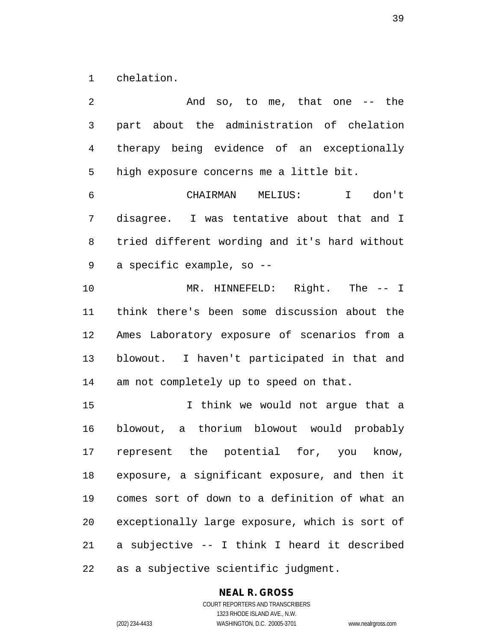1 chelation.

2 And so, to me, that one -- the 3 part about the administration of chelation 4 therapy being evidence of an exceptionally 5 high exposure concerns me a little bit. 6 CHAIRMAN MELIUS: I don't 7 disagree. I was tentative about that and I 8 tried different wording and it's hard without 9 a specific example, so -- 10 MR. HINNEFELD: Right. The -- I 11 think there's been some discussion about the 12 Ames Laboratory exposure of scenarios from a 13 blowout. I haven't participated in that and 14 am not completely up to speed on that. 15 I think we would not argue that a 16 blowout, a thorium blowout would probably 17 represent the potential for, you know, 18 exposure, a significant exposure, and then it 19 comes sort of down to a definition of what an 20 exceptionally large exposure, which is sort of 21 a subjective -- I think I heard it described 22 as a subjective scientific judgment.

# **NEAL R. GROSS**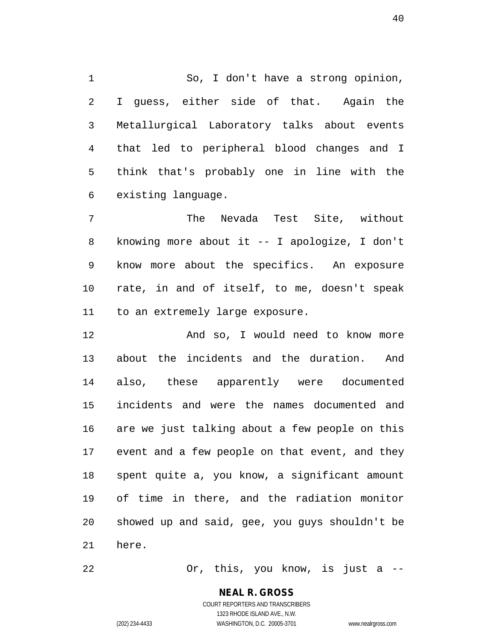1 So, I don't have a strong opinion, 2 I guess, either side of that. Again the 3 Metallurgical Laboratory talks about events 4 that led to peripheral blood changes and I 5 think that's probably one in line with the 6 existing language.

7 The Nevada Test Site, without 8 knowing more about it -- I apologize, I don't 9 know more about the specifics. An exposure 10 rate, in and of itself, to me, doesn't speak 11 to an extremely large exposure.

12 And so, I would need to know more 13 about the incidents and the duration. And 14 also, these apparently were documented 15 incidents and were the names documented and 16 are we just talking about a few people on this 17 event and a few people on that event, and they 18 spent quite a, you know, a significant amount 19 of time in there, and the radiation monitor 20 showed up and said, gee, you guys shouldn't be 21 here.

22 Or, this, you know, is just a --

# **NEAL R. GROSS**

COURT REPORTERS AND TRANSCRIBERS 1323 RHODE ISLAND AVE., N.W. (202) 234-4433 WASHINGTON, D.C. 20005-3701 www.nealrgross.com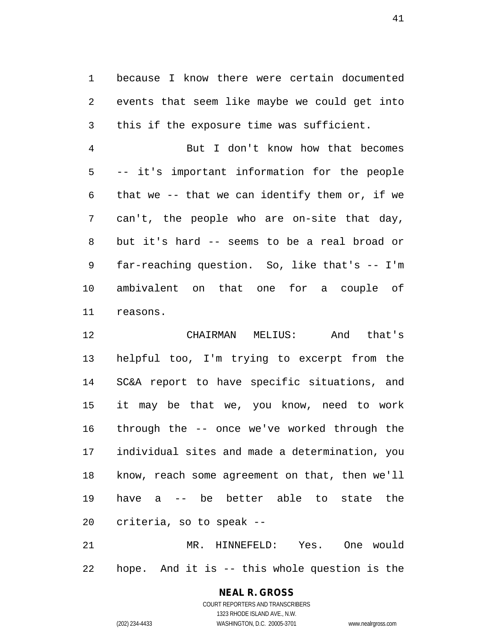1 because I know there were certain documented 2 events that seem like maybe we could get into 3 this if the exposure time was sufficient.

4 But I don't know how that becomes 5 -- it's important information for the people 6 that we -- that we can identify them or, if we 7 can't, the people who are on-site that day, 8 but it's hard -- seems to be a real broad or 9 far-reaching question. So, like that's -- I'm 10 ambivalent on that one for a couple of 11 reasons.

12 CHAIRMAN MELIUS: And that's 13 helpful too, I'm trying to excerpt from the 14 SC&A report to have specific situations, and 15 it may be that we, you know, need to work 16 through the -- once we've worked through the 17 individual sites and made a determination, you 18 know, reach some agreement on that, then we'll 19 have a -- be better able to state the 20 criteria, so to speak --

21 MR. HINNEFELD: Yes. One would 22 hope. And it is -- this whole question is the

### **NEAL R. GROSS** COURT REPORTERS AND TRANSCRIBERS 1323 RHODE ISLAND AVE., N.W.

(202) 234-4433 WASHINGTON, D.C. 20005-3701 www.nealrgross.com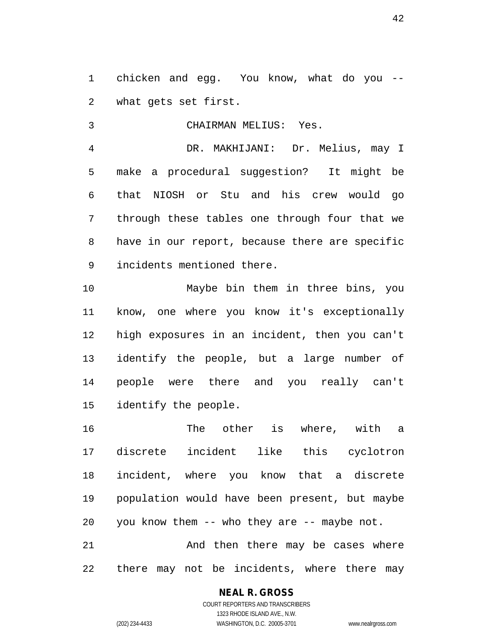1 chicken and egg. You know, what do you -- 2 what gets set first.

3 CHAIRMAN MELIUS: Yes. 4 DR. MAKHIJANI: Dr. Melius, may I 5 make a procedural suggestion? It might be 6 that NIOSH or Stu and his crew would go 7 through these tables one through four that we 8 have in our report, because there are specific 9 incidents mentioned there.

10 Maybe bin them in three bins, you 11 know, one where you know it's exceptionally 12 high exposures in an incident, then you can't 13 identify the people, but a large number of 14 people were there and you really can't 15 identify the people.

16 The other is where, with a 17 discrete incident like this cyclotron 18 incident, where you know that a discrete 19 population would have been present, but maybe 20 you know them -- who they are -- maybe not.

21 And then there may be cases where 22 there may not be incidents, where there may

### **NEAL R. GROSS**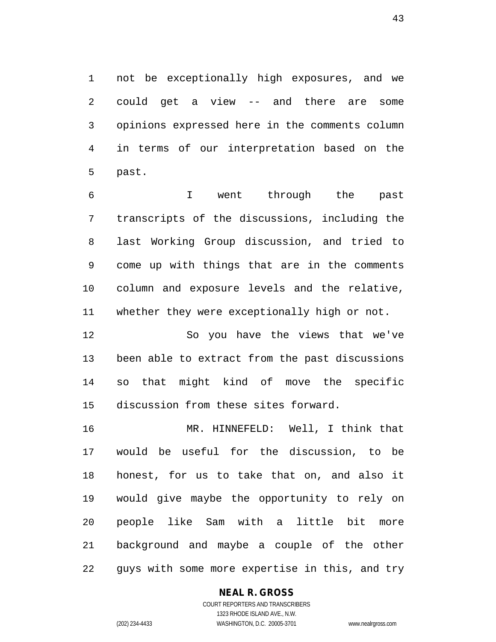1 not be exceptionally high exposures, and we 2 could get a view -- and there are some 3 opinions expressed here in the comments column 4 in terms of our interpretation based on the 5 past.

6 I went through the past 7 transcripts of the discussions, including the 8 last Working Group discussion, and tried to 9 come up with things that are in the comments 10 column and exposure levels and the relative, 11 whether they were exceptionally high or not.

12 So you have the views that we've 13 been able to extract from the past discussions 14 so that might kind of move the specific 15 discussion from these sites forward.

16 MR. HINNEFELD: Well, I think that 17 would be useful for the discussion, to be 18 honest, for us to take that on, and also it 19 would give maybe the opportunity to rely on 20 people like Sam with a little bit more 21 background and maybe a couple of the other 22 guys with some more expertise in this, and try

### **NEAL R. GROSS**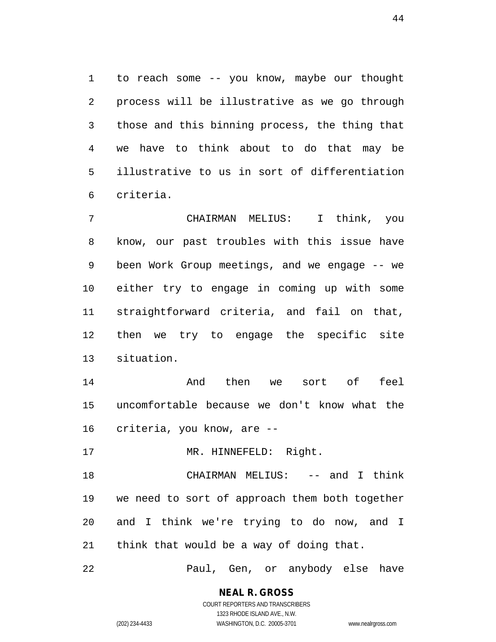1 to reach some -- you know, maybe our thought 2 process will be illustrative as we go through 3 those and this binning process, the thing that 4 we have to think about to do that may be 5 illustrative to us in sort of differentiation 6 criteria.

7 CHAIRMAN MELIUS: I think, you 8 know, our past troubles with this issue have 9 been Work Group meetings, and we engage -- we 10 either try to engage in coming up with some 11 straightforward criteria, and fail on that, 12 then we try to engage the specific site 13 situation.

14 And then we sort of feel 15 uncomfortable because we don't know what the 16 criteria, you know, are --

17 MR. HINNEFELD: Right.

18 CHAIRMAN MELIUS: -- and I think 19 we need to sort of approach them both together 20 and I think we're trying to do now, and I 21 think that would be a way of doing that.

22 Paul, Gen, or anybody else have

# **NEAL R. GROSS**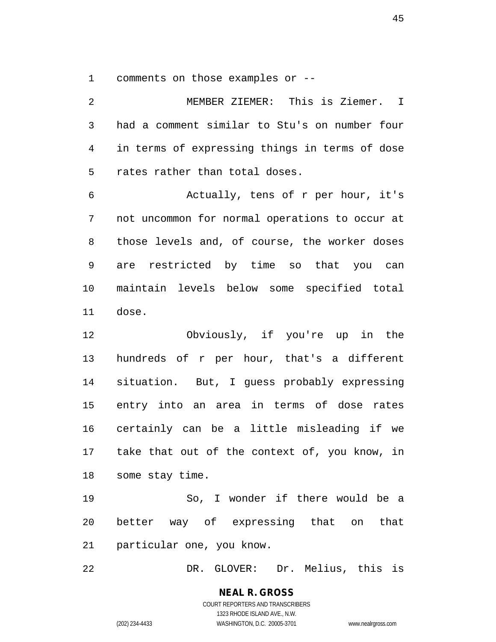1 comments on those examples or --

2 MEMBER ZIEMER: This is Ziemer. I 3 had a comment similar to Stu's on number four 4 in terms of expressing things in terms of dose 5 rates rather than total doses. 6 Actually, tens of r per hour, it's 7 not uncommon for normal operations to occur at 8 those levels and, of course, the worker doses 9 are restricted by time so that you can 10 maintain levels below some specified total

11 dose.

12 Obviously, if you're up in the 13 hundreds of r per hour, that's a different 14 situation. But, I guess probably expressing 15 entry into an area in terms of dose rates 16 certainly can be a little misleading if we 17 take that out of the context of, you know, in 18 some stay time.

19 So, I wonder if there would be a 20 better way of expressing that on that 21 particular one, you know.

22 DR. GLOVER: Dr. Melius, this is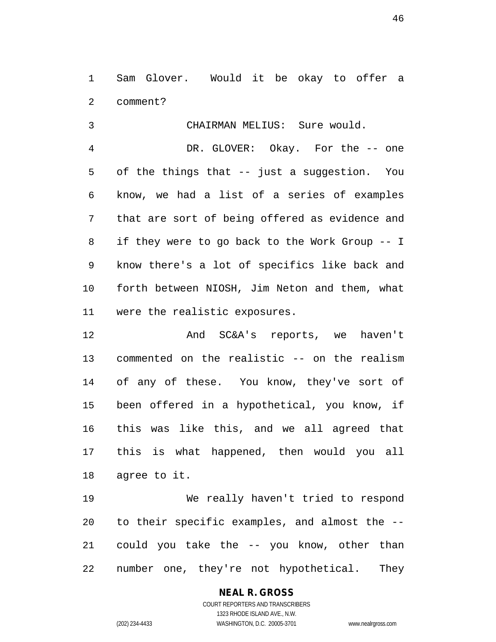1 Sam Glover. Would it be okay to offer a 2 comment?

3 CHAIRMAN MELIUS: Sure would. 4 DR. GLOVER: Okay. For the -- one 5 of the things that -- just a suggestion. You 6 know, we had a list of a series of examples 7 that are sort of being offered as evidence and 8 if they were to go back to the Work Group -- I 9 know there's a lot of specifics like back and 10 forth between NIOSH, Jim Neton and them, what 11 were the realistic exposures.

12 And SC&A's reports, we haven't 13 commented on the realistic -- on the realism 14 of any of these. You know, they've sort of 15 been offered in a hypothetical, you know, if 16 this was like this, and we all agreed that 17 this is what happened, then would you all 18 agree to it.

19 We really haven't tried to respond 20 to their specific examples, and almost the -- 21 could you take the -- you know, other than 22 number one, they're not hypothetical. They

# **NEAL R. GROSS**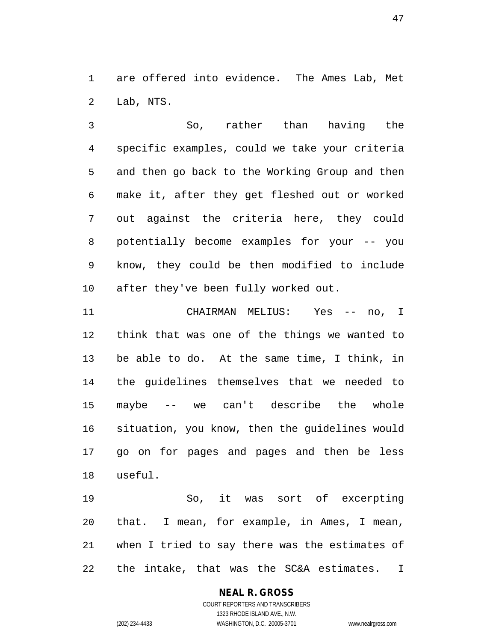1 are offered into evidence. The Ames Lab, Met 2 Lab, NTS.

3 So, rather than having the 4 specific examples, could we take your criteria 5 and then go back to the Working Group and then 6 make it, after they get fleshed out or worked 7 out against the criteria here, they could 8 potentially become examples for your -- you 9 know, they could be then modified to include 10 after they've been fully worked out.

11 CHAIRMAN MELIUS: Yes -- no, I 12 think that was one of the things we wanted to 13 be able to do. At the same time, I think, in 14 the guidelines themselves that we needed to 15 maybe -- we can't describe the whole 16 situation, you know, then the guidelines would 17 go on for pages and pages and then be less 18 useful.

19 So, it was sort of excerpting 20 that. I mean, for example, in Ames, I mean, 21 when I tried to say there was the estimates of 22 the intake, that was the SC&A estimates. I

# **NEAL R. GROSS**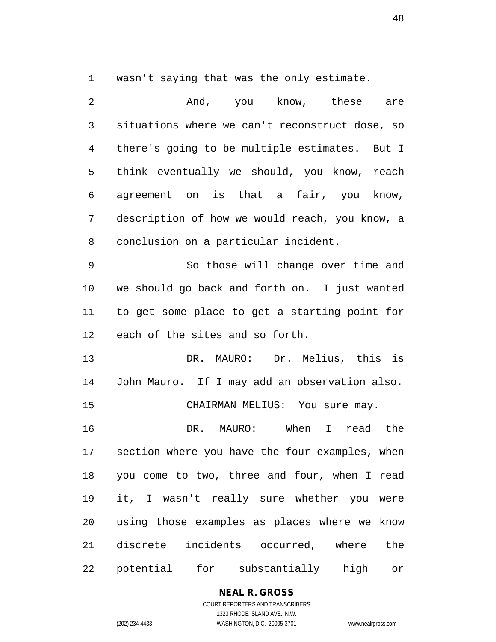1 wasn't saying that was the only estimate.

2 And, you know, these are 3 situations where we can't reconstruct dose, so 4 there's going to be multiple estimates. But I 5 think eventually we should, you know, reach 6 agreement on is that a fair, you know, 7 description of how we would reach, you know, a 8 conclusion on a particular incident. 9 So those will change over time and 10 we should go back and forth on. I just wanted 11 to get some place to get a starting point for 12 each of the sites and so forth. 13 DR. MAURO: Dr. Melius, this is 14 John Mauro. If I may add an observation also. 15 CHAIRMAN MELIUS: You sure may. 16 DR. MAURO: When I read the 17 section where you have the four examples, when 18 you come to two, three and four, when I read 19 it, I wasn't really sure whether you were 20 using those examples as places where we know 21 discrete incidents occurred, where the 22 potential for substantially high or

### **NEAL R. GROSS**

COURT REPORTERS AND TRANSCRIBERS 1323 RHODE ISLAND AVE., N.W. (202) 234-4433 WASHINGTON, D.C. 20005-3701 www.nealrgross.com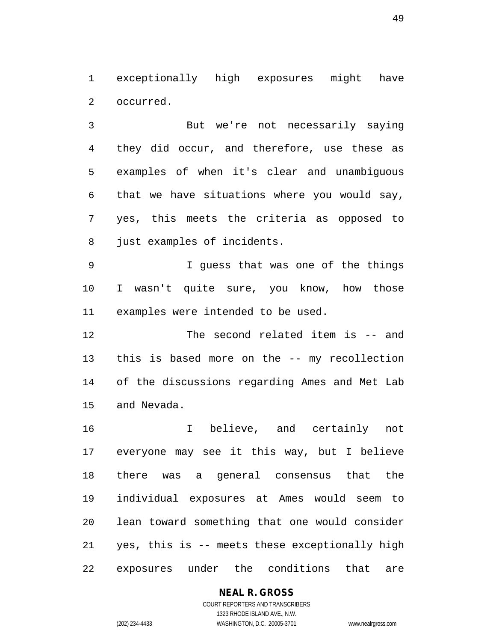1 exceptionally high exposures might have 2 occurred.

3 But we're not necessarily saying 4 they did occur, and therefore, use these as 5 examples of when it's clear and unambiguous 6 that we have situations where you would say, 7 yes, this meets the criteria as opposed to 8 just examples of incidents.

9 I guess that was one of the things 10 I wasn't quite sure, you know, how those 11 examples were intended to be used.

12 The second related item is -- and 13 this is based more on the -- my recollection 14 of the discussions regarding Ames and Met Lab 15 and Nevada.

16 I believe, and certainly not 17 everyone may see it this way, but I believe 18 there was a general consensus that the 19 individual exposures at Ames would seem to 20 lean toward something that one would consider 21 yes, this is -- meets these exceptionally high 22 exposures under the conditions that are

# **NEAL R. GROSS**

COURT REPORTERS AND TRANSCRIBERS 1323 RHODE ISLAND AVE., N.W. (202) 234-4433 WASHINGTON, D.C. 20005-3701 www.nealrgross.com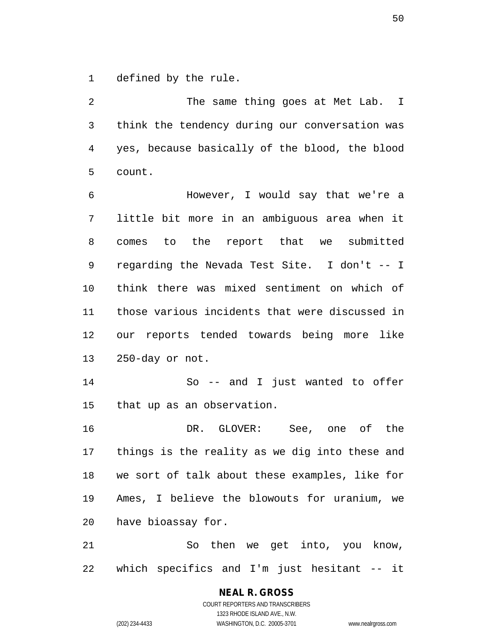1 defined by the rule.

2 The same thing goes at Met Lab. I 3 think the tendency during our conversation was 4 yes, because basically of the blood, the blood 5 count.

6 However, I would say that we're a 7 little bit more in an ambiguous area when it 8 comes to the report that we submitted 9 regarding the Nevada Test Site. I don't -- I 10 think there was mixed sentiment on which of 11 those various incidents that were discussed in 12 our reports tended towards being more like 13 250-day or not.

14 So -- and I just wanted to offer 15 that up as an observation.

16 DR. GLOVER: See, one of the 17 things is the reality as we dig into these and 18 we sort of talk about these examples, like for 19 Ames, I believe the blowouts for uranium, we 20 have bioassay for.

21 So then we get into, you know, 22 which specifics and I'm just hesitant -- it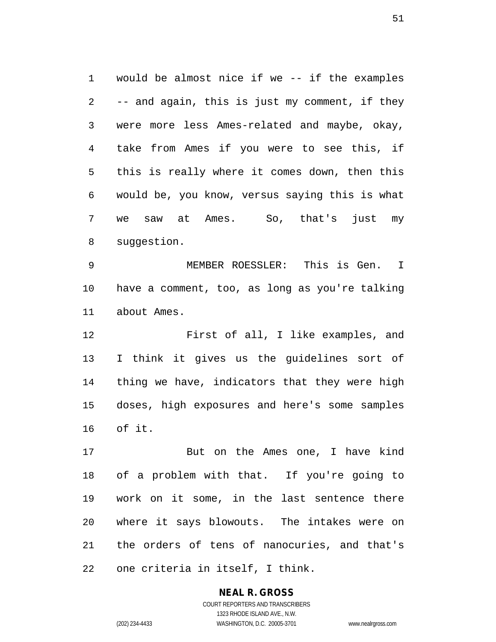1 would be almost nice if we -- if the examples 2 -- and again, this is just my comment, if they 3 were more less Ames-related and maybe, okay, 4 take from Ames if you were to see this, if 5 this is really where it comes down, then this 6 would be, you know, versus saying this is what 7 we saw at Ames. So, that's just my 8 suggestion.

9 MEMBER ROESSLER: This is Gen. I 10 have a comment, too, as long as you're talking 11 about Ames.

12 First of all, I like examples, and 13 I think it gives us the guidelines sort of 14 thing we have, indicators that they were high 15 doses, high exposures and here's some samples 16 of it.

17 But on the Ames one, I have kind 18 of a problem with that. If you're going to 19 work on it some, in the last sentence there 20 where it says blowouts. The intakes were on 21 the orders of tens of nanocuries, and that's 22 one criteria in itself, I think.

# **NEAL R. GROSS**

COURT REPORTERS AND TRANSCRIBERS 1323 RHODE ISLAND AVE., N.W. (202) 234-4433 WASHINGTON, D.C. 20005-3701 www.nealrgross.com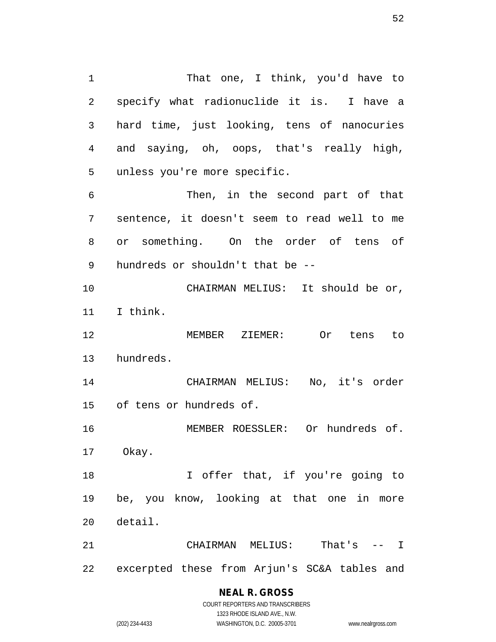1 That one, I think, you'd have to 2 specify what radionuclide it is. I have a 3 hard time, just looking, tens of nanocuries 4 and saying, oh, oops, that's really high, 5 unless you're more specific. 6 Then, in the second part of that 7 sentence, it doesn't seem to read well to me 8 or something. On the order of tens of 9 hundreds or shouldn't that be -- 10 CHAIRMAN MELIUS: It should be or, 11 I think. 12 MEMBER ZIEMER: Or tens to 13 hundreds. 14 CHAIRMAN MELIUS: No, it's order 15 of tens or hundreds of. 16 MEMBER ROESSLER: Or hundreds of. 17 Okay. 18 18 I offer that, if you're going to 19 be, you know, looking at that one in more 20 detail.

21 CHAIRMAN MELIUS: That's -- I 22 excerpted these from Arjun's SC&A tables and

# **NEAL R. GROSS**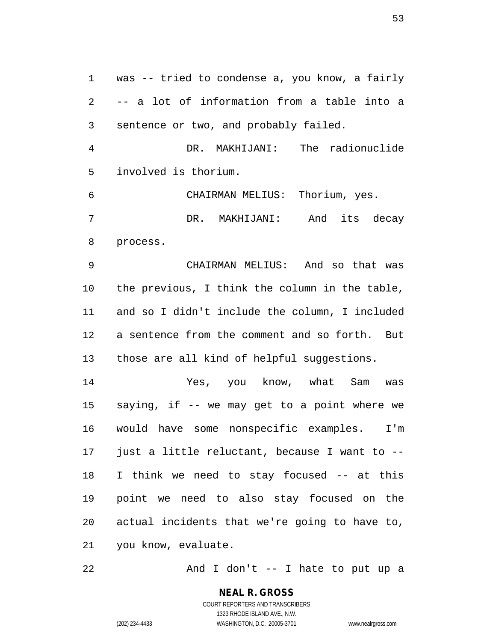1 was -- tried to condense a, you know, a fairly 2 -- a lot of information from a table into a 3 sentence or two, and probably failed.

4 DR. MAKHIJANI: The radionuclide 5 involved is thorium.

6 CHAIRMAN MELIUS: Thorium, yes. 7 DR. MAKHIJANI: And its decay 8 process.

9 CHAIRMAN MELIUS: And so that was 10 the previous, I think the column in the table, 11 and so I didn't include the column, I included 12 a sentence from the comment and so forth. But 13 those are all kind of helpful suggestions.

14 Yes, you know, what Sam was 15 saying, if -- we may get to a point where we 16 would have some nonspecific examples. I'm 17 just a little reluctant, because I want to -- 18 I think we need to stay focused -- at this 19 point we need to also stay focused on the 20 actual incidents that we're going to have to, 21 you know, evaluate.

22 And I don't -- I hate to put up a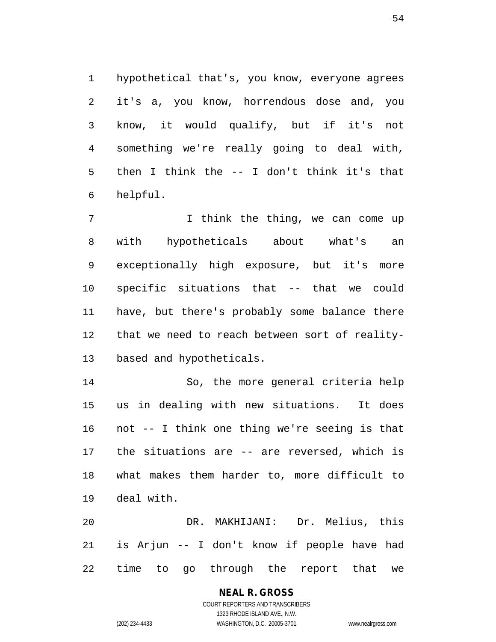1 hypothetical that's, you know, everyone agrees 2 it's a, you know, horrendous dose and, you 3 know, it would qualify, but if it's not 4 something we're really going to deal with, 5 then I think the -- I don't think it's that 6 helpful.

7 1 I think the thing, we can come up 8 with hypotheticals about what's an 9 exceptionally high exposure, but it's more 10 specific situations that -- that we could 11 have, but there's probably some balance there 12 that we need to reach between sort of reality-13 based and hypotheticals.

14 So, the more general criteria help 15 us in dealing with new situations. It does 16 not -- I think one thing we're seeing is that 17 the situations are -- are reversed, which is 18 what makes them harder to, more difficult to 19 deal with.

20 DR. MAKHIJANI: Dr. Melius, this 21 is Arjun -- I don't know if people have had 22 time to go through the report that we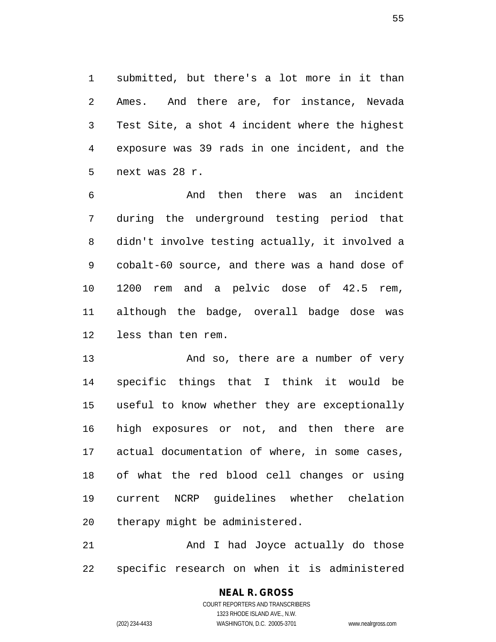1 submitted, but there's a lot more in it than 2 Ames. And there are, for instance, Nevada 3 Test Site, a shot 4 incident where the highest 4 exposure was 39 rads in one incident, and the 5 next was 28 r.

6 And then there was an incident 7 during the underground testing period that 8 didn't involve testing actually, it involved a 9 cobalt-60 source, and there was a hand dose of 10 1200 rem and a pelvic dose of 42.5 rem, 11 although the badge, overall badge dose was 12 less than ten rem.

13 And so, there are a number of very 14 specific things that I think it would be 15 useful to know whether they are exceptionally 16 high exposures or not, and then there are 17 actual documentation of where, in some cases, 18 of what the red blood cell changes or using 19 current NCRP guidelines whether chelation 20 therapy might be administered.

21 And I had Joyce actually do those 22 specific research on when it is administered

# **NEAL R. GROSS**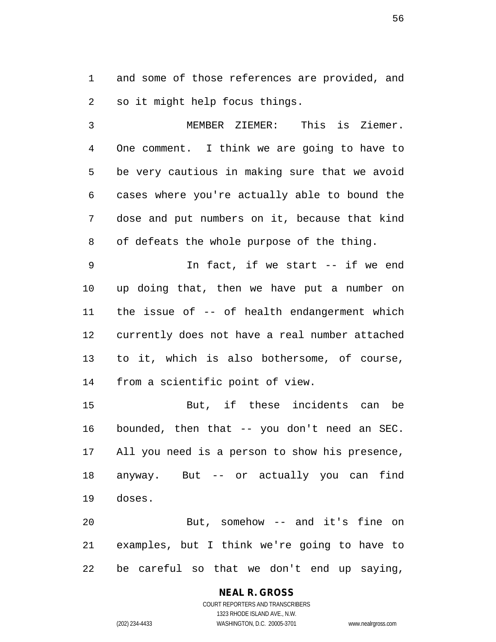1 and some of those references are provided, and 2 so it might help focus things.

3 MEMBER ZIEMER: This is Ziemer. 4 One comment. I think we are going to have to 5 be very cautious in making sure that we avoid 6 cases where you're actually able to bound the 7 dose and put numbers on it, because that kind 8 of defeats the whole purpose of the thing.

9 In fact, if we start -- if we end 10 up doing that, then we have put a number on 11 the issue of -- of health endangerment which 12 currently does not have a real number attached 13 to it, which is also bothersome, of course, 14 from a scientific point of view.

15 But, if these incidents can be 16 bounded, then that -- you don't need an SEC. 17 All you need is a person to show his presence, 18 anyway. But -- or actually you can find 19 doses.

20 But, somehow -- and it's fine on 21 examples, but I think we're going to have to 22 be careful so that we don't end up saying,

# **NEAL R. GROSS**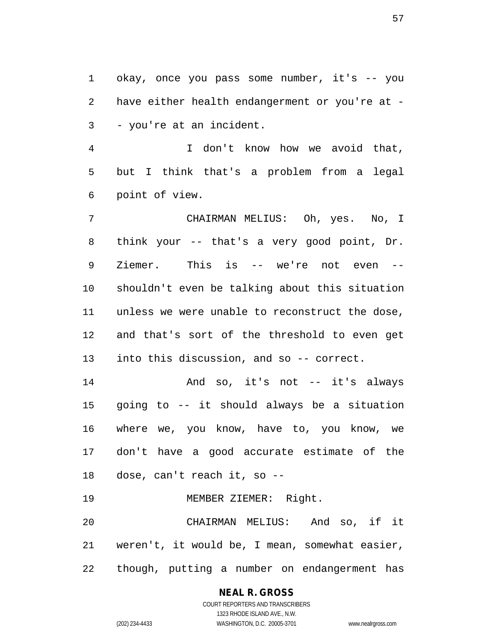1 okay, once you pass some number, it's -- you 2 have either health endangerment or you're at - 3 - you're at an incident.

4 I don't know how we avoid that, 5 but I think that's a problem from a legal 6 point of view.

7 CHAIRMAN MELIUS: Oh, yes. No, I 8 think your -- that's a very good point, Dr. 9 Ziemer. This is -- we're not even -- 10 shouldn't even be talking about this situation 11 unless we were unable to reconstruct the dose, 12 and that's sort of the threshold to even get 13 into this discussion, and so -- correct.

14 And so, it's not -- it's always 15 going to -- it should always be a situation 16 where we, you know, have to, you know, we 17 don't have a good accurate estimate of the 18 dose, can't reach it, so --

19 MEMBER ZIEMER: Right.

20 CHAIRMAN MELIUS: And so, if it 21 weren't, it would be, I mean, somewhat easier, 22 though, putting a number on endangerment has

# **NEAL R. GROSS**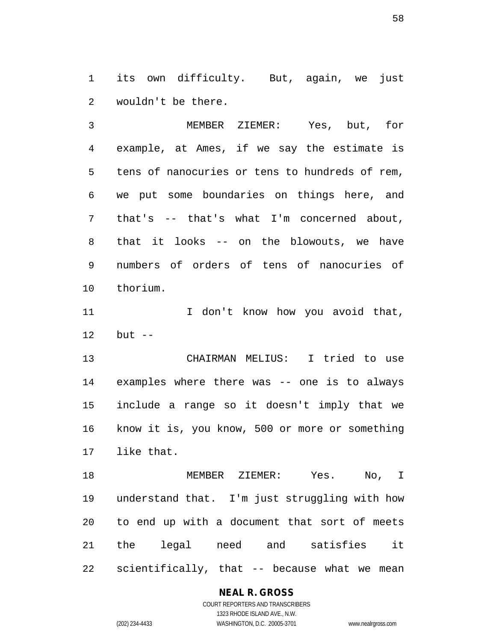1 its own difficulty. But, again, we just 2 wouldn't be there.

3 MEMBER ZIEMER: Yes, but, for 4 example, at Ames, if we say the estimate is 5 tens of nanocuries or tens to hundreds of rem, 6 we put some boundaries on things here, and 7 that's -- that's what I'm concerned about, 8 that it looks -- on the blowouts, we have 9 numbers of orders of tens of nanocuries of 10 thorium.

11 1 I don't know how you avoid that, 12 but --

13 CHAIRMAN MELIUS: I tried to use 14 examples where there was -- one is to always 15 include a range so it doesn't imply that we 16 know it is, you know, 500 or more or something 17 like that.

18 MEMBER ZIEMER: Yes. No, I 19 understand that. I'm just struggling with how 20 to end up with a document that sort of meets 21 the legal need and satisfies it 22 scientifically, that -- because what we mean

#### **NEAL R. GROSS**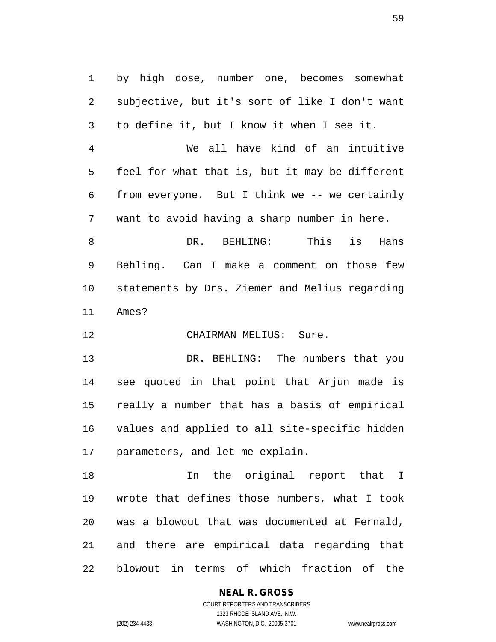1 by high dose, number one, becomes somewhat 2 subjective, but it's sort of like I don't want 3 to define it, but I know it when I see it.

4 We all have kind of an intuitive 5 feel for what that is, but it may be different 6 from everyone. But I think we -- we certainly 7 want to avoid having a sharp number in here.

8 DR. BEHLING: This is Hans 9 Behling. Can I make a comment on those few 10 statements by Drs. Ziemer and Melius regarding 11 Ames?

12 CHAIRMAN MELIUS: Sure.

13 DR. BEHLING: The numbers that you 14 see quoted in that point that Arjun made is 15 really a number that has a basis of empirical 16 values and applied to all site-specific hidden 17 parameters, and let me explain.

18 In the original report that I 19 wrote that defines those numbers, what I took 20 was a blowout that was documented at Fernald, 21 and there are empirical data regarding that 22 blowout in terms of which fraction of the

### **NEAL R. GROSS**

COURT REPORTERS AND TRANSCRIBERS 1323 RHODE ISLAND AVE., N.W. (202) 234-4433 WASHINGTON, D.C. 20005-3701 www.nealrgross.com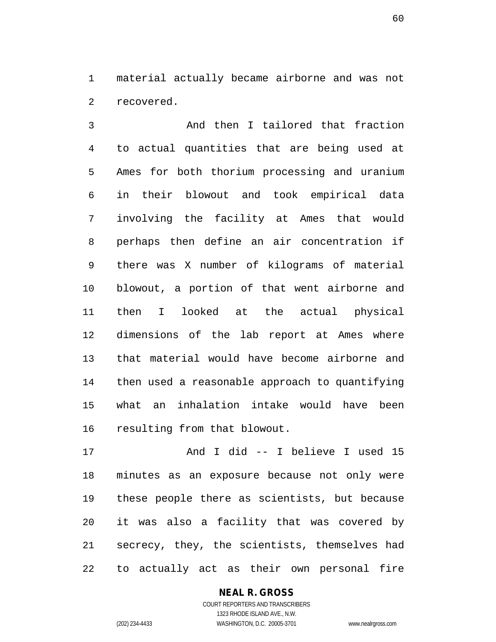1 material actually became airborne and was not 2 recovered.

3 And then I tailored that fraction 4 to actual quantities that are being used at 5 Ames for both thorium processing and uranium 6 in their blowout and took empirical data 7 involving the facility at Ames that would 8 perhaps then define an air concentration if 9 there was X number of kilograms of material 10 blowout, a portion of that went airborne and 11 then I looked at the actual physical 12 dimensions of the lab report at Ames where 13 that material would have become airborne and 14 then used a reasonable approach to quantifying 15 what an inhalation intake would have been 16 resulting from that blowout.

17 And I did -- I believe I used 15 18 minutes as an exposure because not only were 19 these people there as scientists, but because 20 it was also a facility that was covered by 21 secrecy, they, the scientists, themselves had 22 to actually act as their own personal fire

#### **NEAL R. GROSS**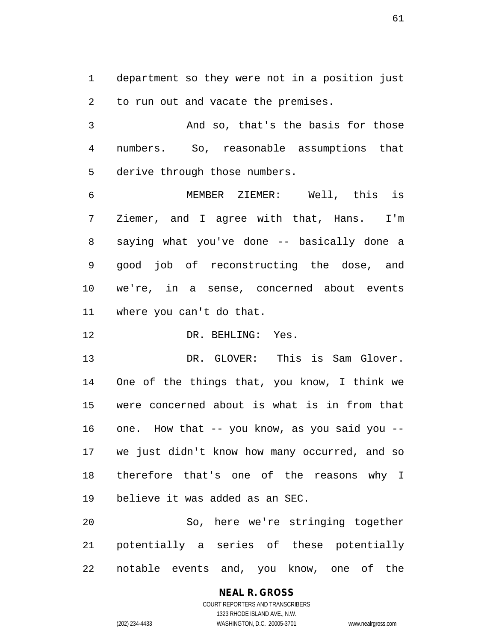1 department so they were not in a position just 2 to run out and vacate the premises.

3 And so, that's the basis for those 4 numbers. So, reasonable assumptions that 5 derive through those numbers.

6 MEMBER ZIEMER: Well, this is 7 Ziemer, and I agree with that, Hans. I'm 8 saying what you've done -- basically done a 9 good job of reconstructing the dose, and 10 we're, in a sense, concerned about events 11 where you can't do that.

12 DR. BEHLING: Yes.

13 DR. GLOVER: This is Sam Glover. 14 One of the things that, you know, I think we 15 were concerned about is what is in from that 16 one. How that -- you know, as you said you -- 17 we just didn't know how many occurred, and so 18 therefore that's one of the reasons why I 19 believe it was added as an SEC.

20 So, here we're stringing together 21 potentially a series of these potentially 22 notable events and, you know, one of the

> **NEAL R. GROSS** COURT REPORTERS AND TRANSCRIBERS 1323 RHODE ISLAND AVE., N.W. (202) 234-4433 WASHINGTON, D.C. 20005-3701 www.nealrgross.com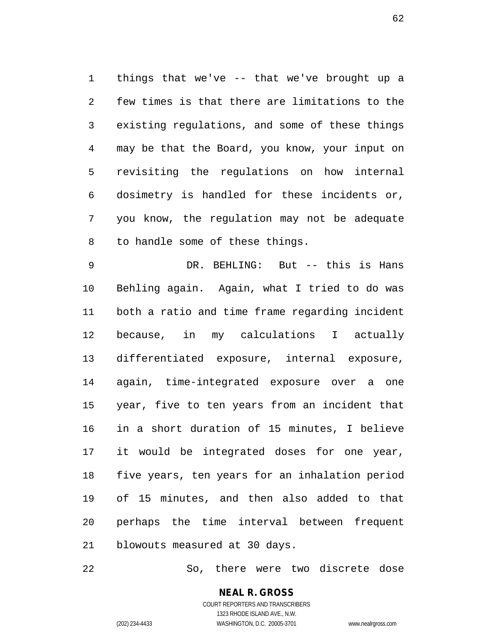1 things that we've -- that we've brought up a 2 few times is that there are limitations to the 3 existing regulations, and some of these things 4 may be that the Board, you know, your input on 5 revisiting the regulations on how internal 6 dosimetry is handled for these incidents or, 7 you know, the regulation may not be adequate 8 to handle some of these things.

9 DR. BEHLING: But -- this is Hans 10 Behling again. Again, what I tried to do was 11 both a ratio and time frame regarding incident 12 because, in my calculations I actually 13 differentiated exposure, internal exposure, 14 again, time-integrated exposure over a one 15 year, five to ten years from an incident that 16 in a short duration of 15 minutes, I believe 17 it would be integrated doses for one year, 18 five years, ten years for an inhalation period 19 of 15 minutes, and then also added to that 20 perhaps the time interval between frequent 21 blowouts measured at 30 days.

22 So, there were two discrete dose

### **NEAL R. GROSS** COURT REPORTERS AND TRANSCRIBERS 1323 RHODE ISLAND AVE., N.W.

(202) 234-4433 WASHINGTON, D.C. 20005-3701 www.nealrgross.com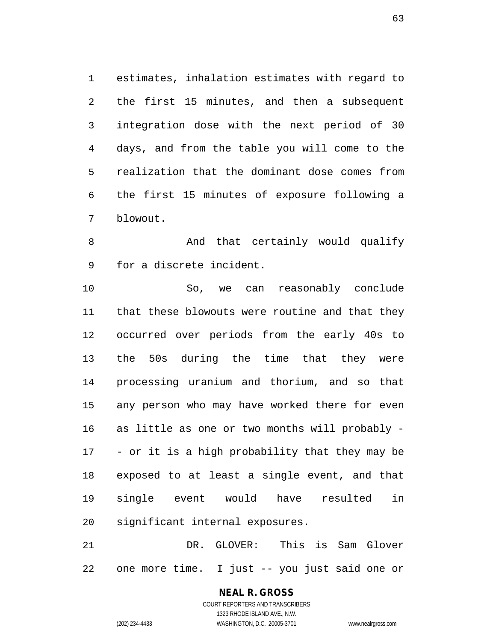1 estimates, inhalation estimates with regard to 2 the first 15 minutes, and then a subsequent 3 integration dose with the next period of 30 4 days, and from the table you will come to the 5 realization that the dominant dose comes from 6 the first 15 minutes of exposure following a 7 blowout.

8 And that certainly would qualify 9 for a discrete incident.

10 So, we can reasonably conclude 11 that these blowouts were routine and that they 12 occurred over periods from the early 40s to 13 the 50s during the time that they were 14 processing uranium and thorium, and so that 15 any person who may have worked there for even 16 as little as one or two months will probably - 17 - or it is a high probability that they may be 18 exposed to at least a single event, and that 19 single event would have resulted in 20 significant internal exposures.

21 DR. GLOVER: This is Sam Glover 22 one more time. I just -- you just said one or

> **NEAL R. GROSS** COURT REPORTERS AND TRANSCRIBERS 1323 RHODE ISLAND AVE., N.W. (202) 234-4433 WASHINGTON, D.C. 20005-3701 www.nealrgross.com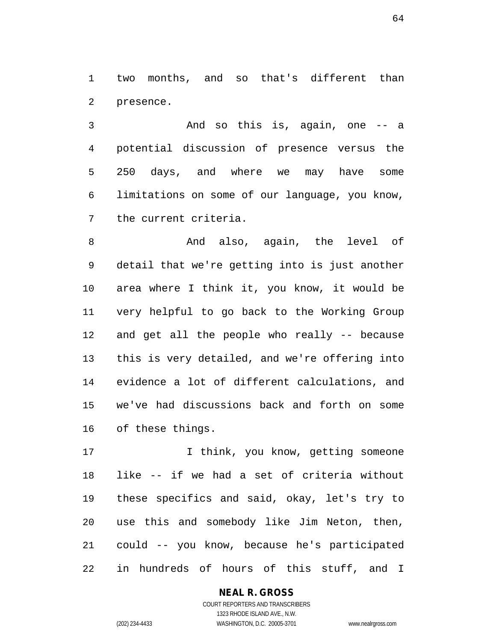1 two months, and so that's different than 2 presence.

3 And so this is, again, one -- a 4 potential discussion of presence versus the 5 250 days, and where we may have some 6 limitations on some of our language, you know, 7 the current criteria.

8 And also, again, the level of 9 detail that we're getting into is just another 10 area where I think it, you know, it would be 11 very helpful to go back to the Working Group 12 and get all the people who really -- because 13 this is very detailed, and we're offering into 14 evidence a lot of different calculations, and 15 we've had discussions back and forth on some 16 of these things.

17 17 I think, you know, getting someone 18 like -- if we had a set of criteria without 19 these specifics and said, okay, let's try to 20 use this and somebody like Jim Neton, then, 21 could -- you know, because he's participated 22 in hundreds of hours of this stuff, and I

# **NEAL R. GROSS**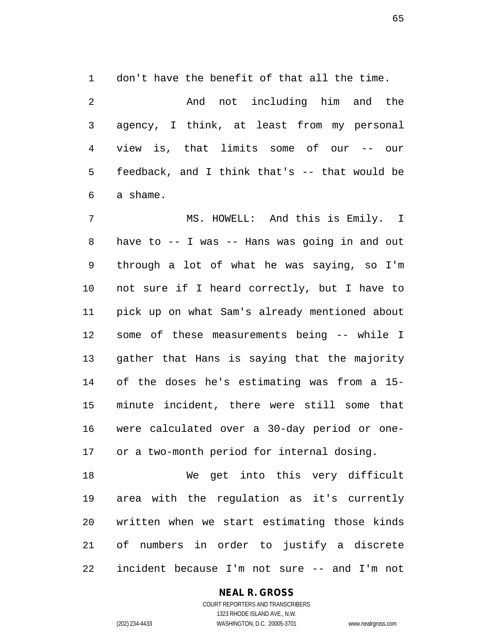1 don't have the benefit of that all the time.

2 And not including him and the 3 agency, I think, at least from my personal 4 view is, that limits some of our -- our 5 feedback, and I think that's -- that would be 6 a shame.

7 MS. HOWELL: And this is Emily. I 8 have to -- I was -- Hans was going in and out 9 through a lot of what he was saying, so I'm 10 not sure if I heard correctly, but I have to 11 pick up on what Sam's already mentioned about 12 some of these measurements being -- while I 13 gather that Hans is saying that the majority 14 of the doses he's estimating was from a 15- 15 minute incident, there were still some that 16 were calculated over a 30-day period or one-17 or a two-month period for internal dosing.

18 We get into this very difficult 19 area with the regulation as it's currently 20 written when we start estimating those kinds 21 of numbers in order to justify a discrete 22 incident because I'm not sure -- and I'm not

### **NEAL R. GROSS**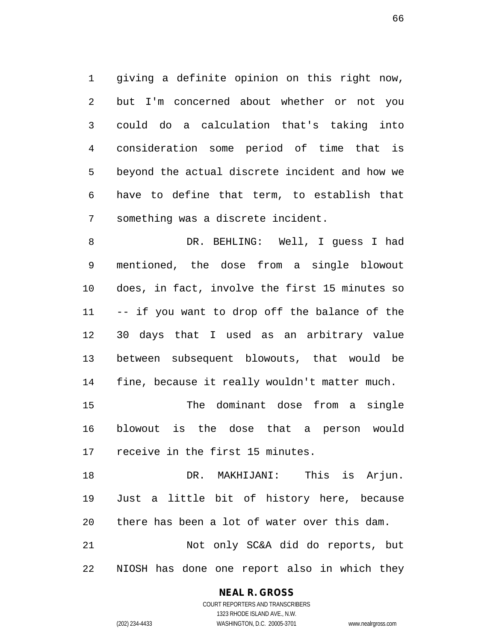1 giving a definite opinion on this right now, 2 but I'm concerned about whether or not you 3 could do a calculation that's taking into 4 consideration some period of time that is 5 beyond the actual discrete incident and how we 6 have to define that term, to establish that 7 something was a discrete incident.

8 DR. BEHLING: Well, I guess I had 9 mentioned, the dose from a single blowout 10 does, in fact, involve the first 15 minutes so 11 -- if you want to drop off the balance of the 12 30 days that I used as an arbitrary value 13 between subsequent blowouts, that would be 14 fine, because it really wouldn't matter much.

15 The dominant dose from a single 16 blowout is the dose that a person would 17 receive in the first 15 minutes.

18 DR. MAKHIJANI: This is Arjun. 19 Just a little bit of history here, because 20 there has been a lot of water over this dam. 21 Not only SC&A did do reports, but 22 NIOSH has done one report also in which they

### **NEAL R. GROSS**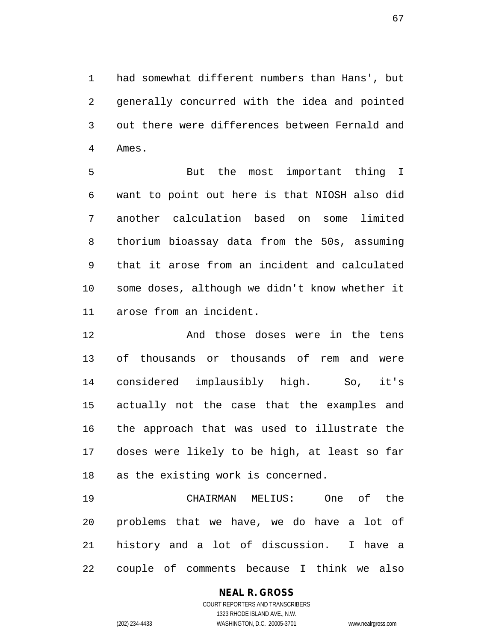1 had somewhat different numbers than Hans', but 2 generally concurred with the idea and pointed 3 out there were differences between Fernald and 4 Ames.

5 But the most important thing I 6 want to point out here is that NIOSH also did 7 another calculation based on some limited 8 thorium bioassay data from the 50s, assuming 9 that it arose from an incident and calculated 10 some doses, although we didn't know whether it 11 arose from an incident.

12 And those doses were in the tens 13 of thousands or thousands of rem and were 14 considered implausibly high. So, it's 15 actually not the case that the examples and 16 the approach that was used to illustrate the 17 doses were likely to be high, at least so far 18 as the existing work is concerned.

19 CHAIRMAN MELIUS: One of the 20 problems that we have, we do have a lot of 21 history and a lot of discussion. I have a 22 couple of comments because I think we also

# **NEAL R. GROSS**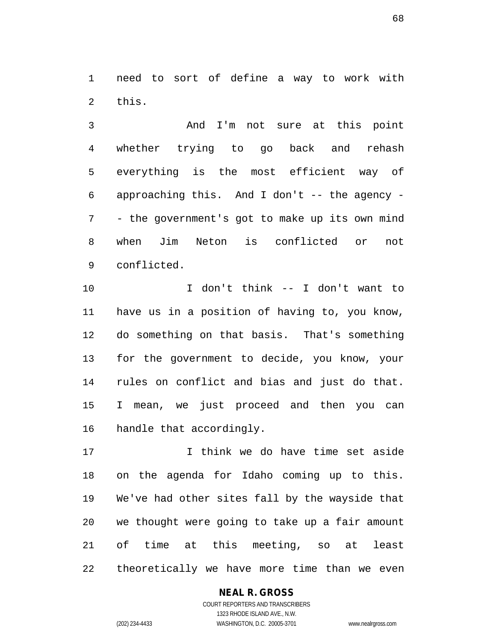1 need to sort of define a way to work with 2 this.

3 And I'm not sure at this point 4 whether trying to go back and rehash 5 everything is the most efficient way of 6 approaching this. And I don't -- the agency - 7 - the government's got to make up its own mind 8 when Jim Neton is conflicted or not 9 conflicted.

10 I don't think -- I don't want to 11 have us in a position of having to, you know, 12 do something on that basis. That's something 13 for the government to decide, you know, your 14 rules on conflict and bias and just do that. 15 I mean, we just proceed and then you can 16 handle that accordingly.

17 I think we do have time set aside 18 on the agenda for Idaho coming up to this. 19 We've had other sites fall by the wayside that 20 we thought were going to take up a fair amount 21 of time at this meeting, so at least 22 theoretically we have more time than we even

### **NEAL R. GROSS**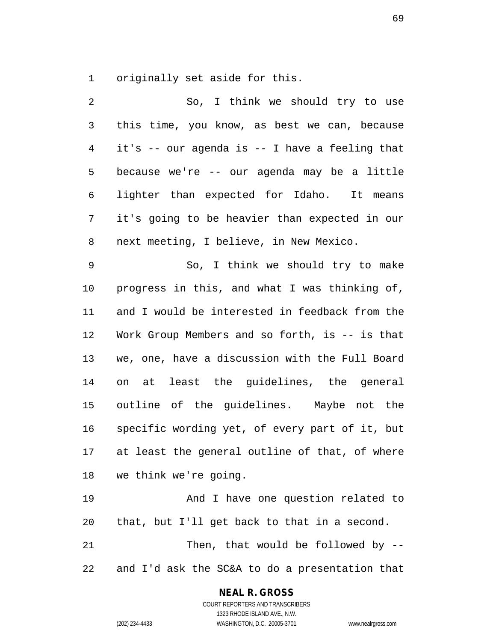1 originally set aside for this.

2 So, I think we should try to use 3 this time, you know, as best we can, because 4 it's -- our agenda is -- I have a feeling that 5 because we're -- our agenda may be a little 6 lighter than expected for Idaho. It means 7 it's going to be heavier than expected in our 8 next meeting, I believe, in New Mexico. 9 So, I think we should try to make 10 progress in this, and what I was thinking of, 11 and I would be interested in feedback from the 12 Work Group Members and so forth, is -- is that 13 we, one, have a discussion with the Full Board 14 on at least the guidelines, the general 15 outline of the guidelines. Maybe not the 16 specific wording yet, of every part of it, but 17 at least the general outline of that, of where 18 we think we're going. 19 And I have one question related to 20 that, but I'll get back to that in a second. 21 Then, that would be followed by --

22 and I'd ask the SC&A to do a presentation that

### **NEAL R. GROSS**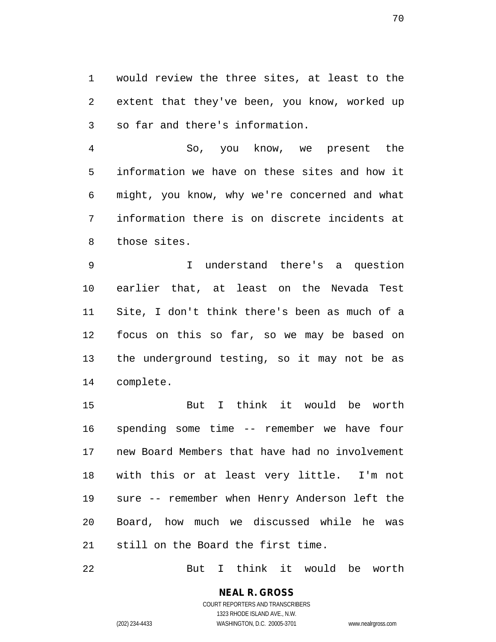1 would review the three sites, at least to the 2 extent that they've been, you know, worked up 3 so far and there's information.

4 So, you know, we present the 5 information we have on these sites and how it 6 might, you know, why we're concerned and what 7 information there is on discrete incidents at 8 those sites.

9 I understand there's a question 10 earlier that, at least on the Nevada Test 11 Site, I don't think there's been as much of a 12 focus on this so far, so we may be based on 13 the underground testing, so it may not be as 14 complete.

15 But I think it would be worth 16 spending some time -- remember we have four 17 new Board Members that have had no involvement 18 with this or at least very little. I'm not 19 sure -- remember when Henry Anderson left the 20 Board, how much we discussed while he was 21 still on the Board the first time.

22 But I think it would be worth

**NEAL R. GROSS** COURT REPORTERS AND TRANSCRIBERS 1323 RHODE ISLAND AVE., N.W.

(202) 234-4433 WASHINGTON, D.C. 20005-3701 www.nealrgross.com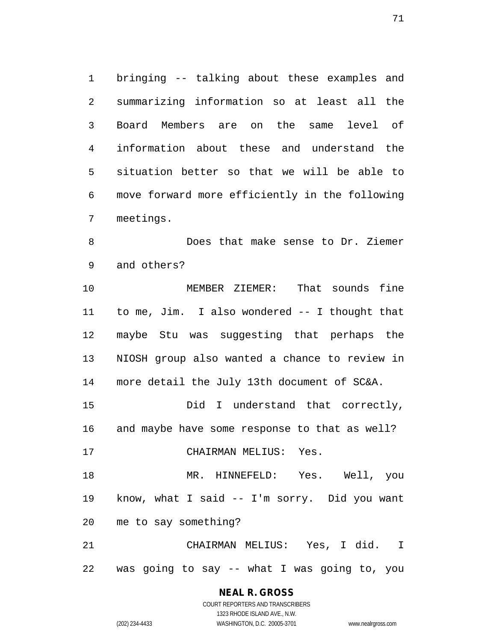1 bringing -- talking about these examples and 2 summarizing information so at least all the 3 Board Members are on the same level of 4 information about these and understand the 5 situation better so that we will be able to 6 move forward more efficiently in the following 7 meetings.

8 Does that make sense to Dr. Ziemer 9 and others?

10 MEMBER ZIEMER: That sounds fine 11 to me, Jim. I also wondered -- I thought that 12 maybe Stu was suggesting that perhaps the 13 NIOSH group also wanted a chance to review in 14 more detail the July 13th document of SC&A.

15 Did I understand that correctly, 16 and maybe have some response to that as well?

17 CHAIRMAN MELIUS: Yes.

18 MR. HINNEFELD: Yes. Well, you 19 know, what I said -- I'm sorry. Did you want 20 me to say something?

21 CHAIRMAN MELIUS: Yes, I did. I 22 was going to say -- what I was going to, you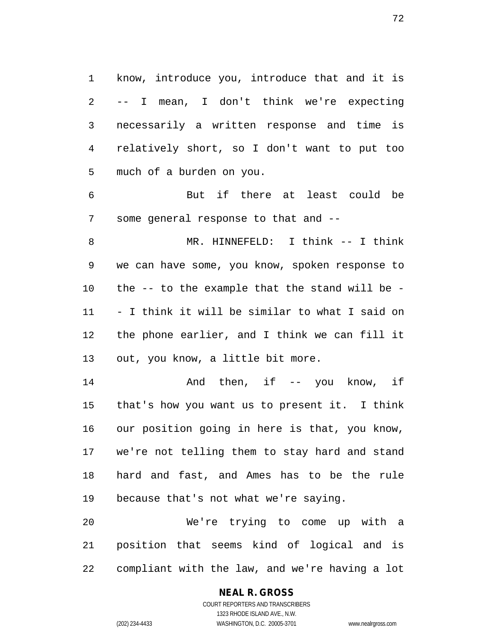1 know, introduce you, introduce that and it is 2 -- I mean, I don't think we're expecting 3 necessarily a written response and time is 4 relatively short, so I don't want to put too 5 much of a burden on you.

6 But if there at least could be 7 some general response to that and --

8 MR. HINNEFELD: I think -- I think 9 we can have some, you know, spoken response to 10 the -- to the example that the stand will be - 11 - I think it will be similar to what I said on 12 the phone earlier, and I think we can fill it 13 out, you know, a little bit more.

14 And then, if -- you know, if 15 that's how you want us to present it. I think 16 our position going in here is that, you know, 17 we're not telling them to stay hard and stand 18 hard and fast, and Ames has to be the rule 19 because that's not what we're saying.

20 We're trying to come up with a 21 position that seems kind of logical and is 22 compliant with the law, and we're having a lot

# **NEAL R. GROSS**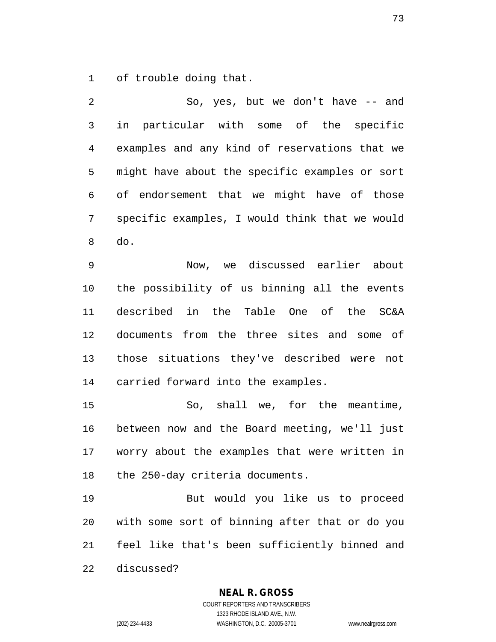1 of trouble doing that.

2 So, yes, but we don't have -- and 3 in particular with some of the specific 4 examples and any kind of reservations that we 5 might have about the specific examples or sort 6 of endorsement that we might have of those 7 specific examples, I would think that we would 8 do.

9 Now, we discussed earlier about 10 the possibility of us binning all the events 11 described in the Table One of the SC&A 12 documents from the three sites and some of 13 those situations they've described were not 14 carried forward into the examples.

15 So, shall we, for the meantime, 16 between now and the Board meeting, we'll just 17 worry about the examples that were written in 18 the 250-day criteria documents.

19 But would you like us to proceed 20 with some sort of binning after that or do you 21 feel like that's been sufficiently binned and 22 discussed?

## **NEAL R. GROSS**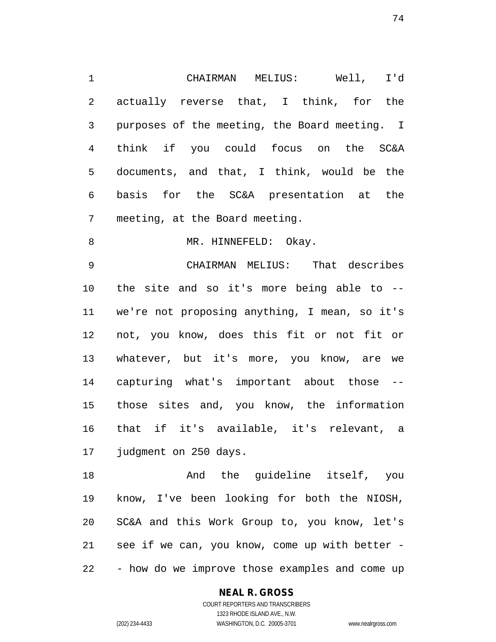1 CHAIRMAN MELIUS: Well, I'd 2 actually reverse that, I think, for the 3 purposes of the meeting, the Board meeting. I 4 think if you could focus on the SC&A 5 documents, and that, I think, would be the 6 basis for the SC&A presentation at the 7 meeting, at the Board meeting.

8 MR. HINNEFELD: Okay.

9 CHAIRMAN MELIUS: That describes 10 the site and so it's more being able to -- 11 we're not proposing anything, I mean, so it's 12 not, you know, does this fit or not fit or 13 whatever, but it's more, you know, are we 14 capturing what's important about those -- 15 those sites and, you know, the information 16 that if it's available, it's relevant, a 17 judgment on 250 days.

18 And the guideline itself, you 19 know, I've been looking for both the NIOSH, 20 SC&A and this Work Group to, you know, let's 21 see if we can, you know, come up with better - 22 - how do we improve those examples and come up

## **NEAL R. GROSS**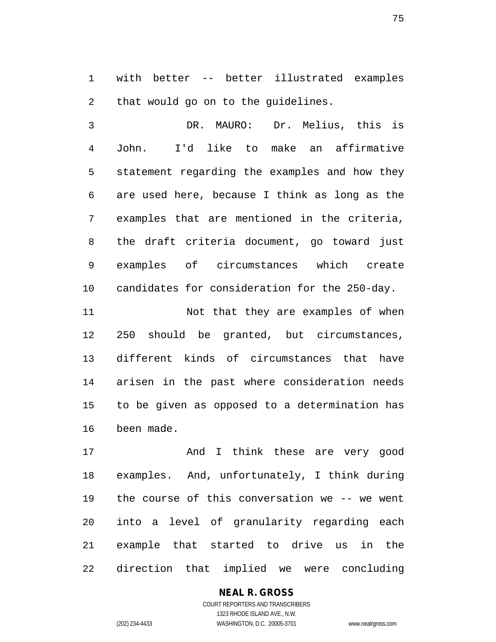1 with better -- better illustrated examples 2 that would go on to the guidelines.

3 DR. MAURO: Dr. Melius, this is 4 John. I'd like to make an affirmative 5 statement regarding the examples and how they 6 are used here, because I think as long as the 7 examples that are mentioned in the criteria, 8 the draft criteria document, go toward just 9 examples of circumstances which create 10 candidates for consideration for the 250-day.

11 Not that they are examples of when 12 250 should be granted, but circumstances, 13 different kinds of circumstances that have 14 arisen in the past where consideration needs 15 to be given as opposed to a determination has 16 been made.

17 And I think these are very good 18 examples. And, unfortunately, I think during 19 the course of this conversation we -- we went 20 into a level of granularity regarding each 21 example that started to drive us in the 22 direction that implied we were concluding

# **NEAL R. GROSS**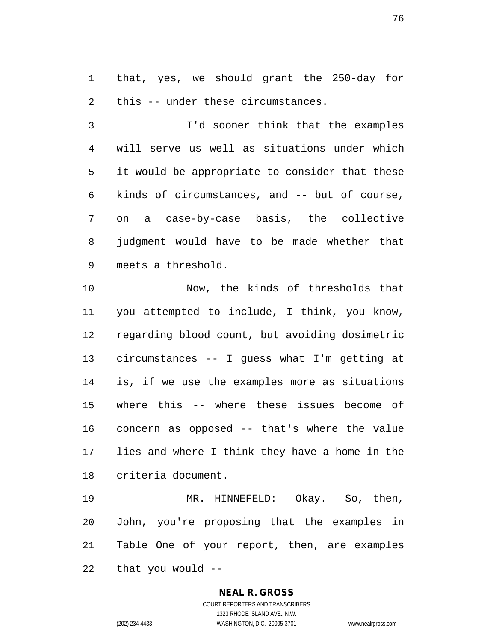1 that, yes, we should grant the 250-day for 2 this -- under these circumstances.

3 I'd sooner think that the examples 4 will serve us well as situations under which 5 it would be appropriate to consider that these 6 kinds of circumstances, and -- but of course, 7 on a case-by-case basis, the collective 8 judgment would have to be made whether that 9 meets a threshold.

10 Now, the kinds of thresholds that 11 you attempted to include, I think, you know, 12 regarding blood count, but avoiding dosimetric 13 circumstances -- I guess what I'm getting at 14 is, if we use the examples more as situations 15 where this -- where these issues become of 16 concern as opposed -- that's where the value 17 lies and where I think they have a home in the 18 criteria document.

19 MR. HINNEFELD: Okay. So, then, 20 John, you're proposing that the examples in 21 Table One of your report, then, are examples 22 that you would --

#### **NEAL R. GROSS**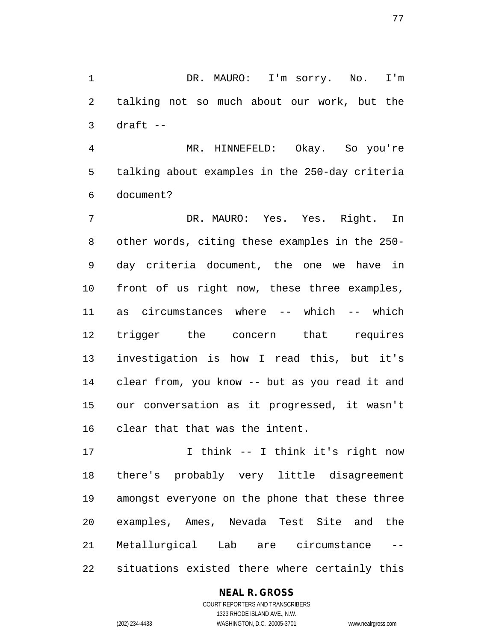1 DR. MAURO: I'm sorry. No. I'm 2 talking not so much about our work, but the  $3$  draft  $-$ 

4 MR. HINNEFELD: Okay. So you're 5 talking about examples in the 250-day criteria 6 document?

7 DR. MAURO: Yes. Yes. Right. In 8 other words, citing these examples in the 250- 9 day criteria document, the one we have in 10 front of us right now, these three examples, 11 as circumstances where -- which -- which 12 trigger the concern that requires 13 investigation is how I read this, but it's 14 clear from, you know -- but as you read it and 15 our conversation as it progressed, it wasn't 16 clear that that was the intent.

17 I think -- I think it's right now 18 there's probably very little disagreement 19 amongst everyone on the phone that these three 20 examples, Ames, Nevada Test Site and the 21 Metallurgical Lab are circumstance -- 22 situations existed there where certainly this

## **NEAL R. GROSS**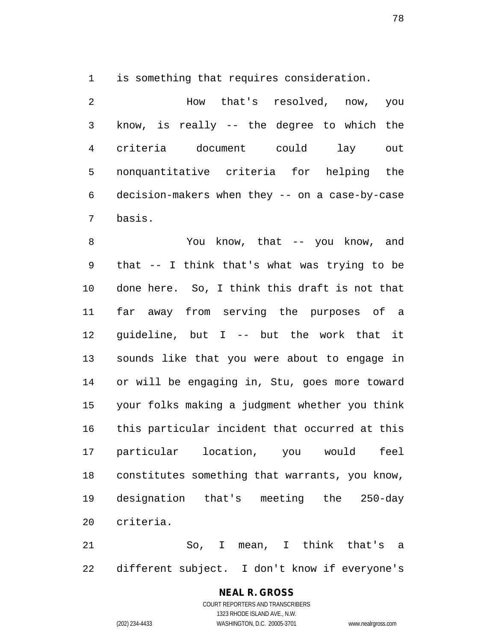1 is something that requires consideration.

2 How that's resolved, now, you 3 know, is really -- the degree to which the 4 criteria document could lay out 5 nonquantitative criteria for helping the 6 decision-makers when they -- on a case-by-case 7 basis.

8 You know, that -- you know, and 9 that -- I think that's what was trying to be 10 done here. So, I think this draft is not that 11 far away from serving the purposes of a 12 guideline, but I -- but the work that it 13 sounds like that you were about to engage in 14 or will be engaging in, Stu, goes more toward 15 your folks making a judgment whether you think 16 this particular incident that occurred at this 17 particular location, you would feel 18 constitutes something that warrants, you know, 19 designation that's meeting the 250-day 20 criteria.

21 So, I mean, I think that's a 22 different subject. I don't know if everyone's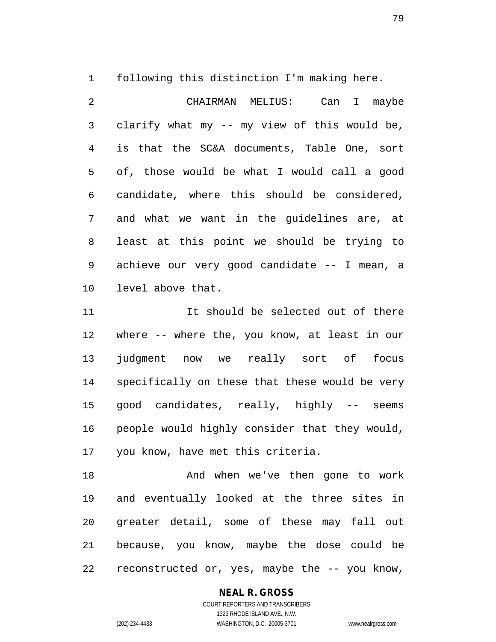1 following this distinction I'm making here.

2 CHAIRMAN MELIUS: Can I maybe 3 clarify what my -- my view of this would be, 4 is that the SC&A documents, Table One, sort 5 of, those would be what I would call a good 6 candidate, where this should be considered, 7 and what we want in the guidelines are, at 8 least at this point we should be trying to 9 achieve our very good candidate -- I mean, a 10 level above that.

11 11 It should be selected out of there 12 where -- where the, you know, at least in our 13 judgment now we really sort of focus 14 specifically on these that these would be very 15 good candidates, really, highly -- seems 16 people would highly consider that they would, 17 you know, have met this criteria.

18 And when we've then gone to work 19 and eventually looked at the three sites in 20 greater detail, some of these may fall out 21 because, you know, maybe the dose could be 22 reconstructed or, yes, maybe the -- you know,

## **NEAL R. GROSS** COURT REPORTERS AND TRANSCRIBERS

1323 RHODE ISLAND AVE., N.W. (202) 234-4433 WASHINGTON, D.C. 20005-3701 www.nealrgross.com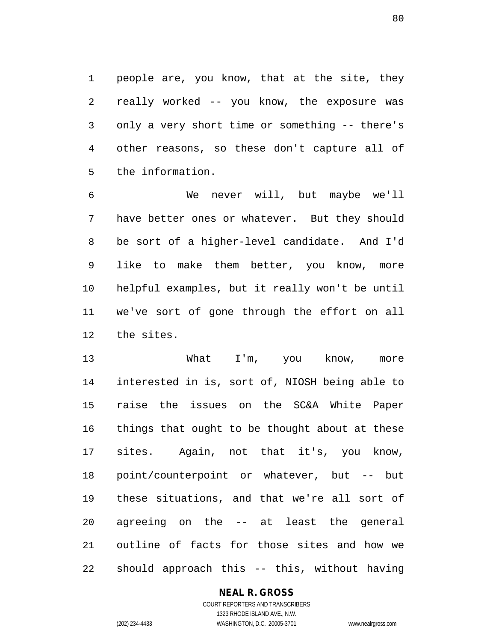1 people are, you know, that at the site, they 2 really worked -- you know, the exposure was 3 only a very short time or something -- there's 4 other reasons, so these don't capture all of 5 the information.

6 We never will, but maybe we'll 7 have better ones or whatever. But they should 8 be sort of a higher-level candidate. And I'd 9 like to make them better, you know, more 10 helpful examples, but it really won't be until 11 we've sort of gone through the effort on all 12 the sites.

13 What I'm, you know, more 14 interested in is, sort of, NIOSH being able to 15 raise the issues on the SC&A White Paper 16 things that ought to be thought about at these 17 sites. Again, not that it's, you know, 18 point/counterpoint or whatever, but -- but 19 these situations, and that we're all sort of 20 agreeing on the -- at least the general 21 outline of facts for those sites and how we 22 should approach this -- this, without having

## **NEAL R. GROSS**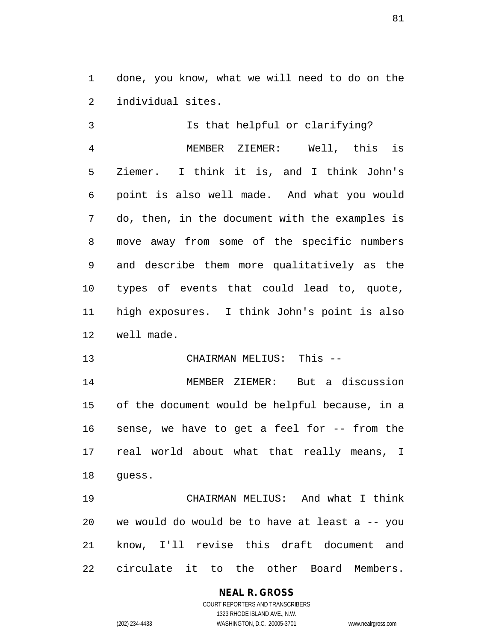1 done, you know, what we will need to do on the 2 individual sites.

3 Is that helpful or clarifying? 4 MEMBER ZIEMER: Well, this is 5 Ziemer. I think it is, and I think John's 6 point is also well made. And what you would 7 do, then, in the document with the examples is 8 move away from some of the specific numbers 9 and describe them more qualitatively as the 10 types of events that could lead to, quote, 11 high exposures. I think John's point is also 12 well made.

13 CHAIRMAN MELIUS: This --

14 MEMBER ZIEMER: But a discussion 15 of the document would be helpful because, in a 16 sense, we have to get a feel for -- from the 17 real world about what that really means, I 18 guess.

19 CHAIRMAN MELIUS: And what I think 20 we would do would be to have at least a -- you 21 know, I'll revise this draft document and 22 circulate it to the other Board Members.

# **NEAL R. GROSS**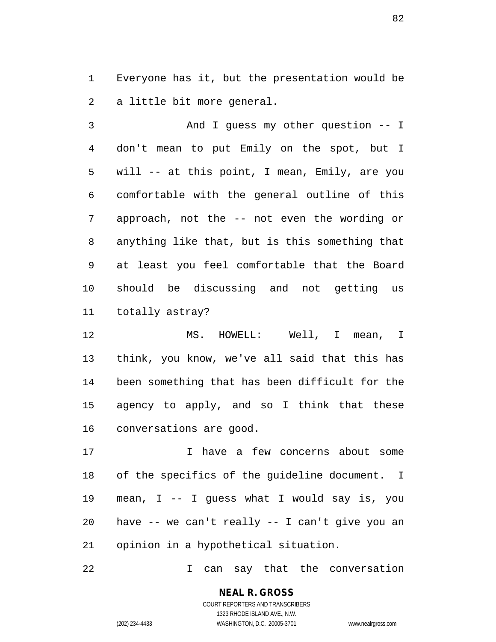1 Everyone has it, but the presentation would be 2 a little bit more general.

3 And I guess my other question -- I 4 don't mean to put Emily on the spot, but I 5 will -- at this point, I mean, Emily, are you 6 comfortable with the general outline of this 7 approach, not the -- not even the wording or 8 anything like that, but is this something that 9 at least you feel comfortable that the Board 10 should be discussing and not getting us 11 totally astray?

12 MS. HOWELL: Well, I mean, I 13 think, you know, we've all said that this has 14 been something that has been difficult for the 15 agency to apply, and so I think that these 16 conversations are good.

17 I have a few concerns about some 18 of the specifics of the guideline document. I 19 mean, I -- I guess what I would say is, you 20 have -- we can't really -- I can't give you an 21 opinion in a hypothetical situation.

22 1 Can say that the conversation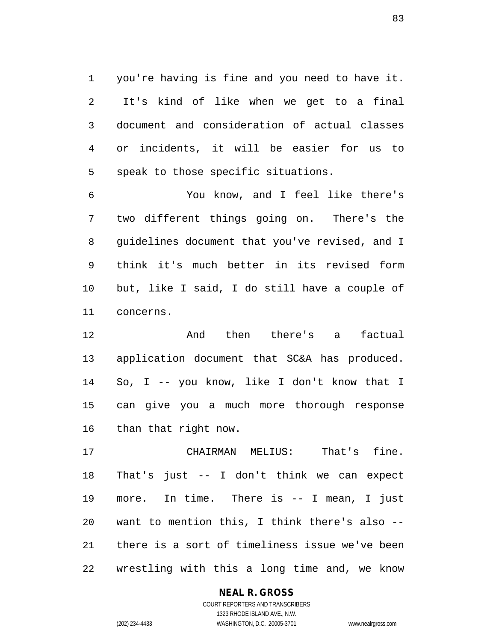1 you're having is fine and you need to have it. 2 It's kind of like when we get to a final 3 document and consideration of actual classes 4 or incidents, it will be easier for us to 5 speak to those specific situations.

6 You know, and I feel like there's 7 two different things going on. There's the 8 guidelines document that you've revised, and I 9 think it's much better in its revised form 10 but, like I said, I do still have a couple of 11 concerns.

12 And then there's a factual 13 application document that SC&A has produced. 14 So, I -- you know, like I don't know that I 15 can give you a much more thorough response 16 than that right now.

17 CHAIRMAN MELIUS: That's fine. 18 That's just -- I don't think we can expect 19 more. In time. There is -- I mean, I just 20 want to mention this, I think there's also -- 21 there is a sort of timeliness issue we've been 22 wrestling with this a long time and, we know

## **NEAL R. GROSS**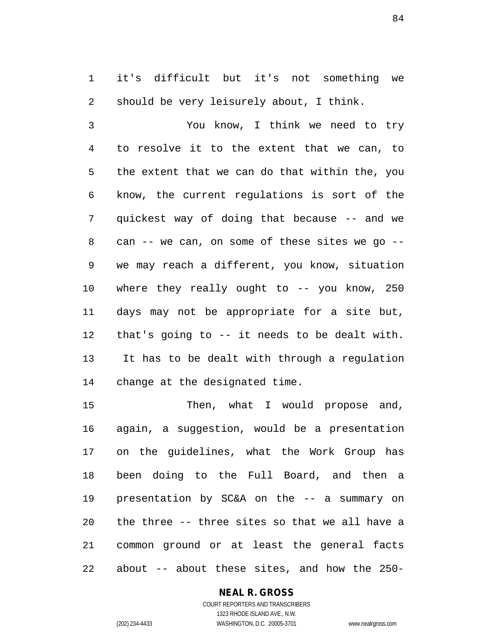1 it's difficult but it's not something we 2 should be very leisurely about, I think.

3 You know, I think we need to try 4 to resolve it to the extent that we can, to 5 the extent that we can do that within the, you 6 know, the current regulations is sort of the 7 quickest way of doing that because -- and we 8 can -- we can, on some of these sites we go -- 9 we may reach a different, you know, situation 10 where they really ought to -- you know, 250 11 days may not be appropriate for a site but, 12 that's going to -- it needs to be dealt with. 13 It has to be dealt with through a regulation 14 change at the designated time.

15 Then, what I would propose and, 16 again, a suggestion, would be a presentation 17 on the guidelines, what the Work Group has 18 been doing to the Full Board, and then a 19 presentation by SC&A on the -- a summary on 20 the three -- three sites so that we all have a 21 common ground or at least the general facts 22 about -- about these sites, and how the 250-

#### **NEAL R. GROSS**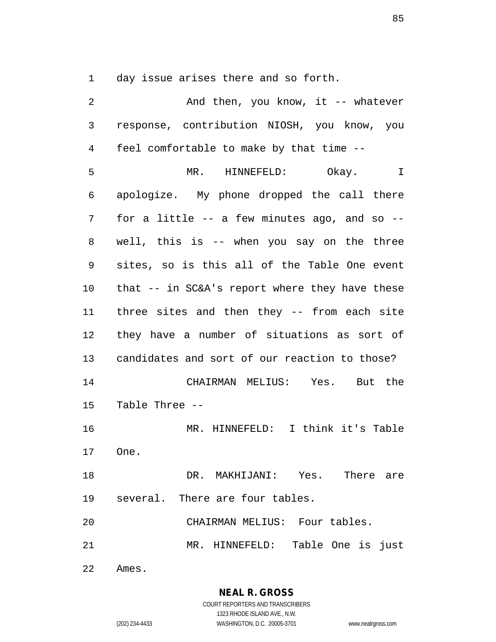1 day issue arises there and so forth.

| 2  | And then, you know, it -- whatever               |
|----|--------------------------------------------------|
| 3  | response, contribution NIOSH, you know, you      |
| 4  | feel comfortable to make by that time --         |
| 5  | MR. HINNEFELD: Okay.<br>I                        |
| 6  | apologize. My phone dropped the call there       |
| 7  | for a little $--$ a few minutes ago, and so $--$ |
| 8  | well, this is -- when you say on the three       |
| 9  | sites, so is this all of the Table One event     |
| 10 | that $--$ in SC&A's report where they have these |
| 11 | three sites and then they -- from each site      |
| 12 | they have a number of situations as sort of      |
| 13 | candidates and sort of our reaction to those?    |
| 14 | CHAIRMAN MELIUS: Yes. But the                    |
| 15 | Table Three --                                   |
| 16 | MR. HINNEFELD: I think it's Table                |
| 17 | One.                                             |
| 18 | DR. MAKHIJANI: Yes. There are                    |
|    | 19 several. There are four tables.               |
| 20 | CHAIRMAN MELIUS: Four tables.                    |
| 21 | MR. HINNEFELD: Table One is just                 |
| 22 | Ames.                                            |

**NEAL R. GROSS** COURT REPORTERS AND TRANSCRIBERS

1323 RHODE ISLAND AVE., N.W.

(202) 234-4433 WASHINGTON, D.C. 20005-3701 www.nealrgross.com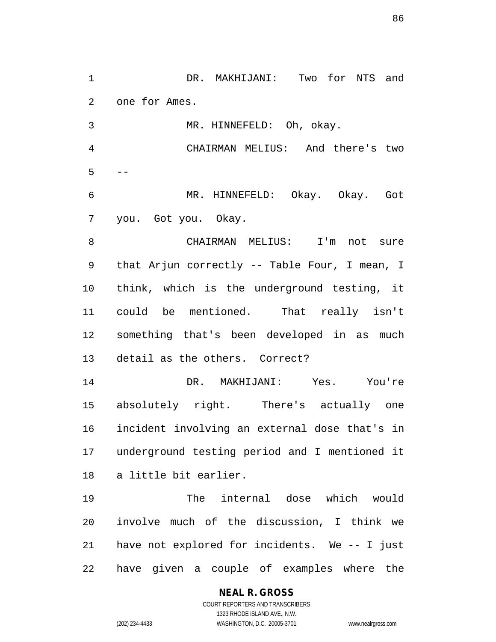1 DR. MAKHIJANI: Two for NTS and 2 one for Ames. 3 MR. HINNEFELD: Oh, okay. 4 CHAIRMAN MELIUS: And there's two  $5 - -$ 6 MR. HINNEFELD: Okay. Okay. Got 7 you. Got you. Okay. 8 CHAIRMAN MELIUS: I'm not sure 9 that Arjun correctly -- Table Four, I mean, I 10 think, which is the underground testing, it 11 could be mentioned. That really isn't 12 something that's been developed in as much 13 detail as the others. Correct? 14 DR. MAKHIJANI: Yes. You're 15 absolutely right. There's actually one 16 incident involving an external dose that's in 17 underground testing period and I mentioned it 18 a little bit earlier. 19 The internal dose which would 20 involve much of the discussion, I think we 21 have not explored for incidents. We -- I just 22 have given a couple of examples where the

## **NEAL R. GROSS**

COURT REPORTERS AND TRANSCRIBERS 1323 RHODE ISLAND AVE., N.W. (202) 234-4433 WASHINGTON, D.C. 20005-3701 www.nealrgross.com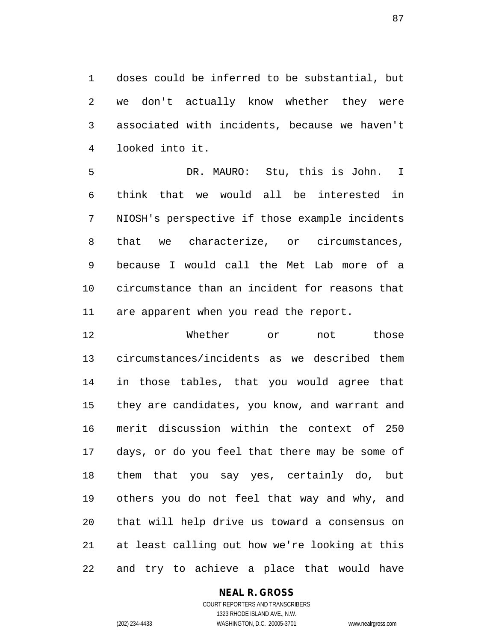1 doses could be inferred to be substantial, but 2 we don't actually know whether they were 3 associated with incidents, because we haven't 4 looked into it.

5 DR. MAURO: Stu, this is John. I 6 think that we would all be interested in 7 NIOSH's perspective if those example incidents 8 that we characterize, or circumstances, 9 because I would call the Met Lab more of a 10 circumstance than an incident for reasons that 11 are apparent when you read the report.

12 Whether or not those 13 circumstances/incidents as we described them 14 in those tables, that you would agree that 15 they are candidates, you know, and warrant and 16 merit discussion within the context of 250 17 days, or do you feel that there may be some of 18 them that you say yes, certainly do, but 19 others you do not feel that way and why, and 20 that will help drive us toward a consensus on 21 at least calling out how we're looking at this 22 and try to achieve a place that would have

#### **NEAL R. GROSS**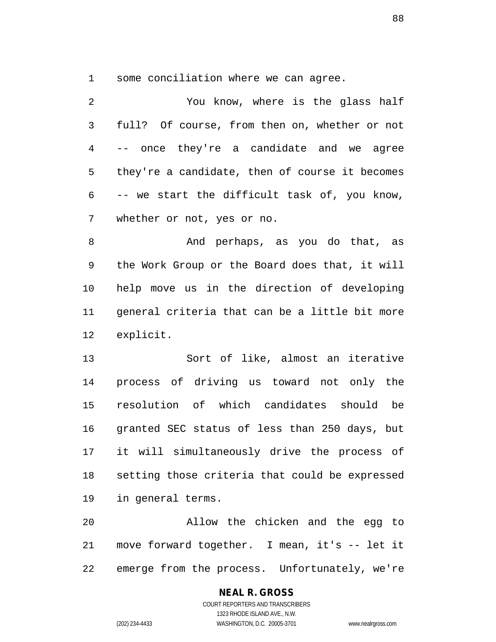1 some conciliation where we can agree.

| $\overline{2}$  | You know, where is the glass half              |
|-----------------|------------------------------------------------|
| $\mathfrak{Z}$  | full? Of course, from then on, whether or not  |
| $\overline{4}$  | -- once they're a candidate and we agree       |
| 5               | they're a candidate, then of course it becomes |
| 6               | -- we start the difficult task of, you know,   |
| 7               | whether or not, yes or no.                     |
| 8               | And perhaps, as you do that, as                |
| 9               | the Work Group or the Board does that, it will |
| 10              | help move us in the direction of developing    |
| 11              | general criteria that can be a little bit more |
| 12 <sub>2</sub> | explicit.                                      |
| 13              | Sort of like, almost an iterative              |
| 1 <i>A</i>      | process of driving us toward not only the      |

14 process of driving us toward not only the 15 resolution of which candidates should be 16 granted SEC status of less than 250 days, but 17 it will simultaneously drive the process of 18 setting those criteria that could be expressed 19 in general terms.

20 Allow the chicken and the egg to 21 move forward together. I mean, it's -- let it 22 emerge from the process. Unfortunately, we're

# **NEAL R. GROSS**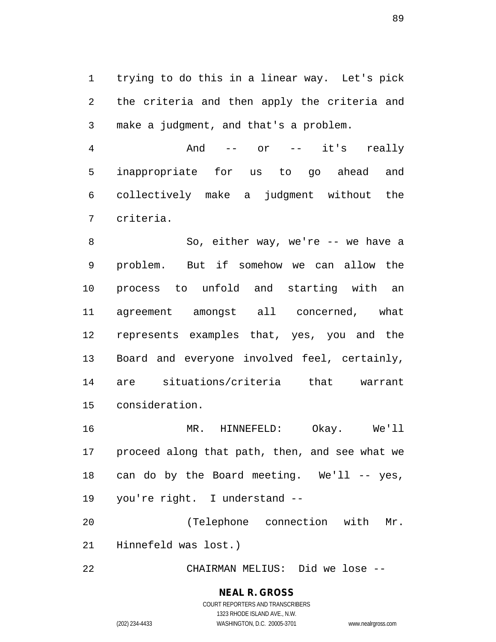1 trying to do this in a linear way. Let's pick 2 the criteria and then apply the criteria and 3 make a judgment, and that's a problem.

4 And -- or -- it's really 5 inappropriate for us to go ahead and 6 collectively make a judgment without the 7 criteria.

8 So, either way, we're -- we have a 9 problem. But if somehow we can allow the 10 process to unfold and starting with an 11 agreement amongst all concerned, what 12 represents examples that, yes, you and the 13 Board and everyone involved feel, certainly, 14 are situations/criteria that warrant 15 consideration.

16 MR. HINNEFELD: Okay. We'll 17 proceed along that path, then, and see what we 18 can do by the Board meeting. We'll -- yes, 19 you're right. I understand --

20 (Telephone connection with Mr. 21 Hinnefeld was lost.)

22 CHAIRMAN MELIUS: Did we lose --

# **NEAL R. GROSS**

COURT REPORTERS AND TRANSCRIBERS 1323 RHODE ISLAND AVE., N.W. (202) 234-4433 WASHINGTON, D.C. 20005-3701 www.nealrgross.com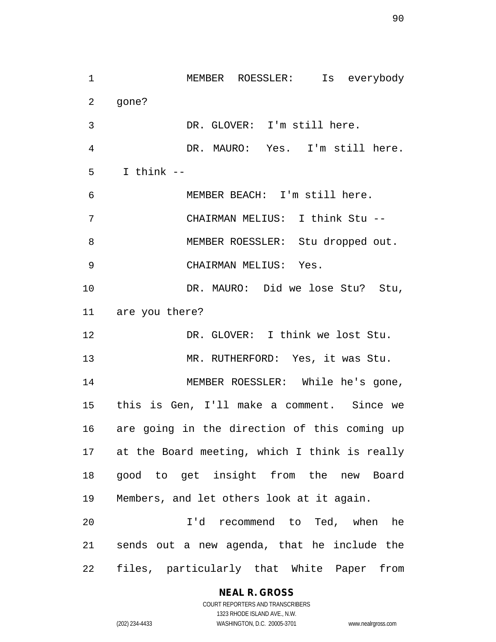1 MEMBER ROESSLER: Is everybody 2 gone? 3 DR. GLOVER: I'm still here. 4 DR. MAURO: Yes. I'm still here. 5 I think -- 6 MEMBER BEACH: I'm still here. 7 CHAIRMAN MELIUS: I think Stu -- 8 MEMBER ROESSLER: Stu dropped out. 9 CHAIRMAN MELIUS: Yes. 10 DR. MAURO: Did we lose Stu? Stu, 11 are you there? 12 DR. GLOVER: I think we lost Stu. 13 MR. RUTHERFORD: Yes, it was Stu. 14 MEMBER ROESSLER: While he's gone, 15 this is Gen, I'll make a comment. Since we 16 are going in the direction of this coming up 17 at the Board meeting, which I think is really 18 good to get insight from the new Board 19 Members, and let others look at it again. 20 I'd recommend to Ted, when he 21 sends out a new agenda, that he include the 22 files, particularly that White Paper from

## **NEAL R. GROSS**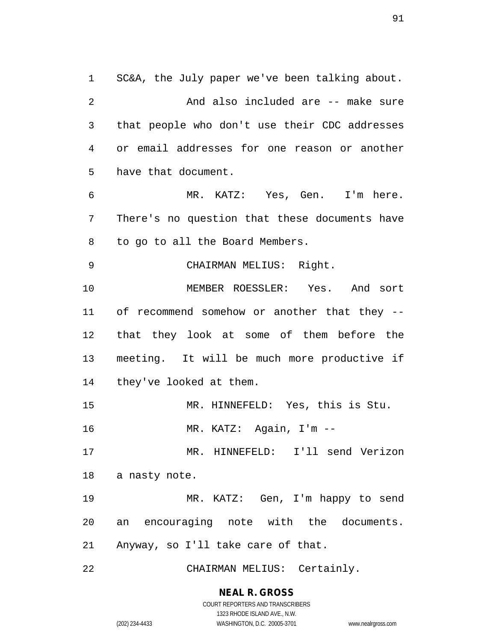1 SC&A, the July paper we've been talking about. 2 And also included are -- make sure 3 that people who don't use their CDC addresses 4 or email addresses for one reason or another 5 have that document. 6 MR. KATZ: Yes, Gen. I'm here. 7 There's no question that these documents have 8 to go to all the Board Members. 9 CHAIRMAN MELIUS: Right. 10 MEMBER ROESSLER: Yes. And sort 11 of recommend somehow or another that they -- 12 that they look at some of them before the 13 meeting. It will be much more productive if 14 they've looked at them. 15 MR. HINNEFELD: Yes, this is Stu. 16 MR. KATZ: Again, I'm -- 17 MR. HINNEFELD: I'll send Verizon 18 a nasty note. 19 MR. KATZ: Gen, I'm happy to send 20 an encouraging note with the documents. 21 Anyway, so I'll take care of that. 22 CHAIRMAN MELIUS: Certainly.

> **NEAL R. GROSS** COURT REPORTERS AND TRANSCRIBERS

1323 RHODE ISLAND AVE., N.W. (202) 234-4433 WASHINGTON, D.C. 20005-3701 www.nealrgross.com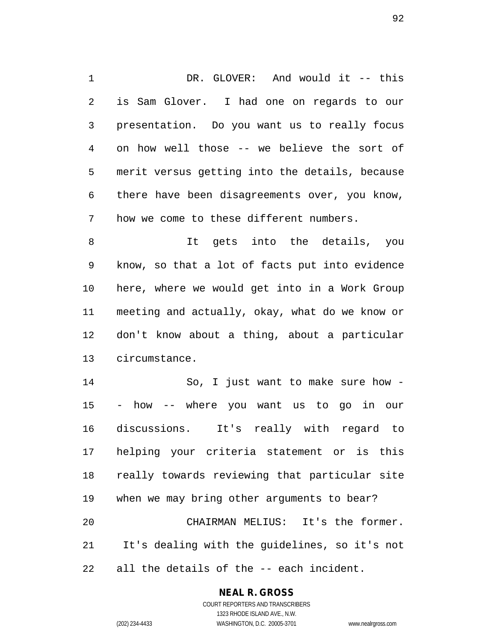1 DR. GLOVER: And would it -- this 2 is Sam Glover. I had one on regards to our 3 presentation. Do you want us to really focus 4 on how well those -- we believe the sort of 5 merit versus getting into the details, because 6 there have been disagreements over, you know, 7 how we come to these different numbers.

8 It gets into the details, you 9 know, so that a lot of facts put into evidence 10 here, where we would get into in a Work Group 11 meeting and actually, okay, what do we know or 12 don't know about a thing, about a particular 13 circumstance.

14 So, I just want to make sure how - 15 - how -- where you want us to go in our 16 discussions. It's really with regard to 17 helping your criteria statement or is this 18 really towards reviewing that particular site 19 when we may bring other arguments to bear? 20 CHAIRMAN MELIUS: It's the former. 21 It's dealing with the guidelines, so it's not 22 all the details of the -- each incident.

## **NEAL R. GROSS**

COURT REPORTERS AND TRANSCRIBERS 1323 RHODE ISLAND AVE., N.W. (202) 234-4433 WASHINGTON, D.C. 20005-3701 www.nealrgross.com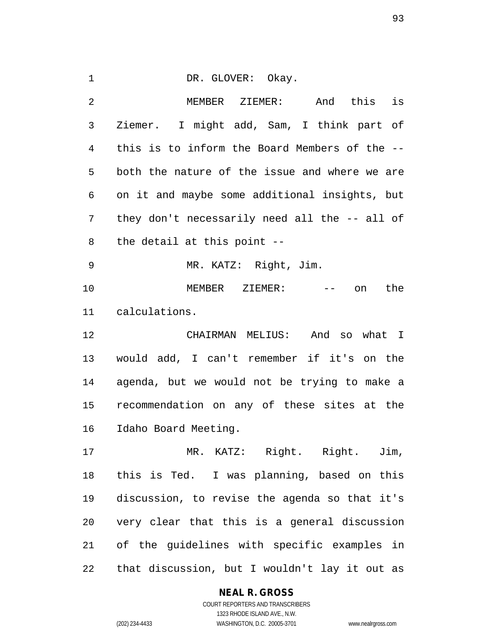#### 1 DR. GLOVER: Okay.

2 MEMBER ZIEMER: And this is 3 Ziemer. I might add, Sam, I think part of 4 this is to inform the Board Members of the -- 5 both the nature of the issue and where we are 6 on it and maybe some additional insights, but 7 they don't necessarily need all the -- all of 8 the detail at this point -- 9 MR. KATZ: Right, Jim. 10 MEMBER ZIEMER: -- on the 11 calculations. 12 CHAIRMAN MELIUS: And so what I 13 would add, I can't remember if it's on the 14 agenda, but we would not be trying to make a 15 recommendation on any of these sites at the 16 Idaho Board Meeting. 17 MR. KATZ: Right. Right. Jim, 18 this is Ted. I was planning, based on this 19 discussion, to revise the agenda so that it's 20 very clear that this is a general discussion 21 of the guidelines with specific examples in

22 that discussion, but I wouldn't lay it out as

#### **NEAL R. GROSS**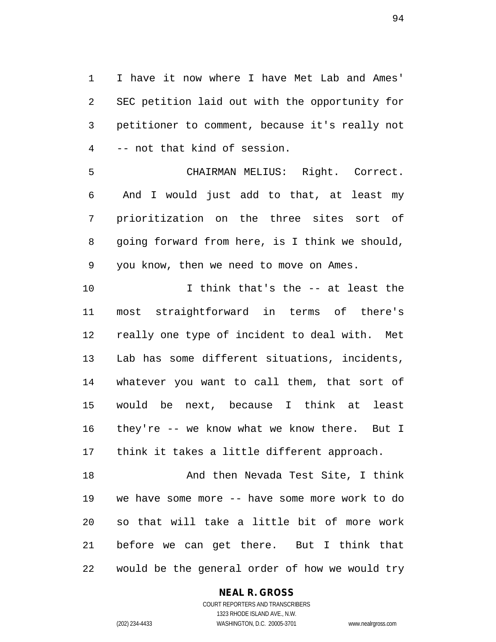1 I have it now where I have Met Lab and Ames' 2 SEC petition laid out with the opportunity for 3 petitioner to comment, because it's really not 4 -- not that kind of session.

5 CHAIRMAN MELIUS: Right. Correct. 6 And I would just add to that, at least my 7 prioritization on the three sites sort of 8 going forward from here, is I think we should, 9 you know, then we need to move on Ames.

10 I think that's the -- at least the 11 most straightforward in terms of there's 12 really one type of incident to deal with. Met 13 Lab has some different situations, incidents, 14 whatever you want to call them, that sort of 15 would be next, because I think at least 16 they're -- we know what we know there. But I 17 think it takes a little different approach.

18 And then Nevada Test Site, I think 19 we have some more -- have some more work to do 20 so that will take a little bit of more work 21 before we can get there. But I think that 22 would be the general order of how we would try

## **NEAL R. GROSS**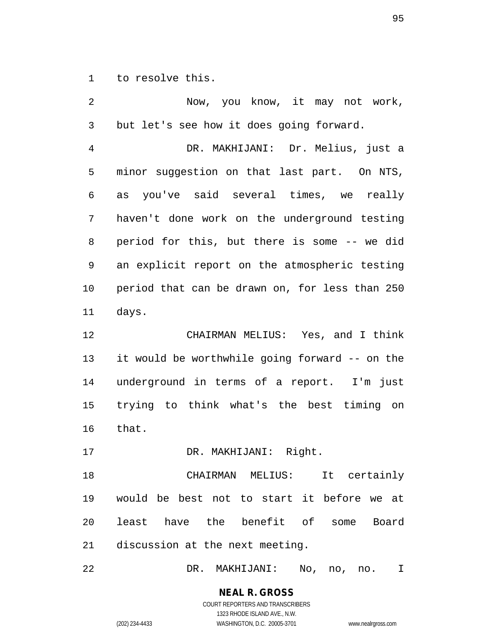1 to resolve this.

2 Now, you know, it may not work, 3 but let's see how it does going forward. 4 DR. MAKHIJANI: Dr. Melius, just a 5 minor suggestion on that last part. On NTS, 6 as you've said several times, we really 7 haven't done work on the underground testing 8 period for this, but there is some -- we did 9 an explicit report on the atmospheric testing 10 period that can be drawn on, for less than 250 11 days. 12 CHAIRMAN MELIUS: Yes, and I think 13 it would be worthwhile going forward -- on the 14 underground in terms of a report. I'm just 15 trying to think what's the best timing on 16 that. 17 DR. MAKHIJANI: Right. 18 CHAIRMAN MELIUS: It certainly 19 would be best not to start it before we at 20 least have the benefit of some Board 21 discussion at the next meeting.

22 DR. MAKHIJANI: No, no, no. I

**NEAL R. GROSS** COURT REPORTERS AND TRANSCRIBERS

1323 RHODE ISLAND AVE., N.W.

(202) 234-4433 WASHINGTON, D.C. 20005-3701 www.nealrgross.com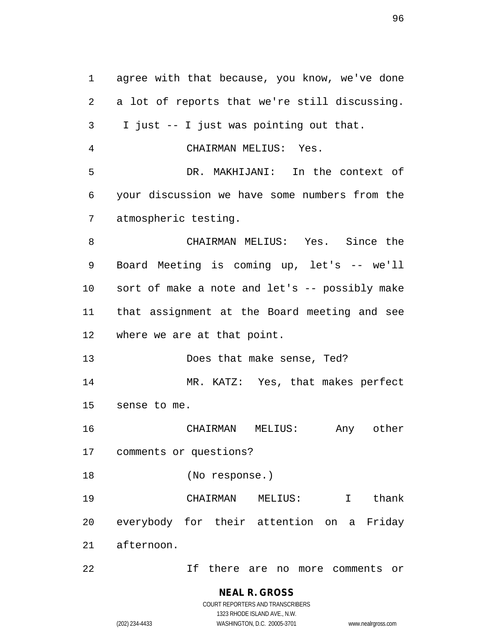1 agree with that because, you know, we've done 2 a lot of reports that we're still discussing. 3 I just -- I just was pointing out that. 4 CHAIRMAN MELIUS: Yes. 5 DR. MAKHIJANI: In the context of 6 your discussion we have some numbers from the 7 atmospheric testing. 8 CHAIRMAN MELIUS: Yes. Since the 9 Board Meeting is coming up, let's -- we'll 10 sort of make a note and let's -- possibly make 11 that assignment at the Board meeting and see 12 where we are at that point. 13 Does that make sense, Ted? 14 MR. KATZ: Yes, that makes perfect 15 sense to me. 16 CHAIRMAN MELIUS: Any other 17 comments or questions? 18 (No response.) 19 CHAIRMAN MELIUS: I thank 20 everybody for their attention on a Friday 21 afternoon. 22 If there are no more comments or

1323 RHODE ISLAND AVE., N.W. (202) 234-4433 WASHINGTON, D.C. 20005-3701 www.nealrgross.com